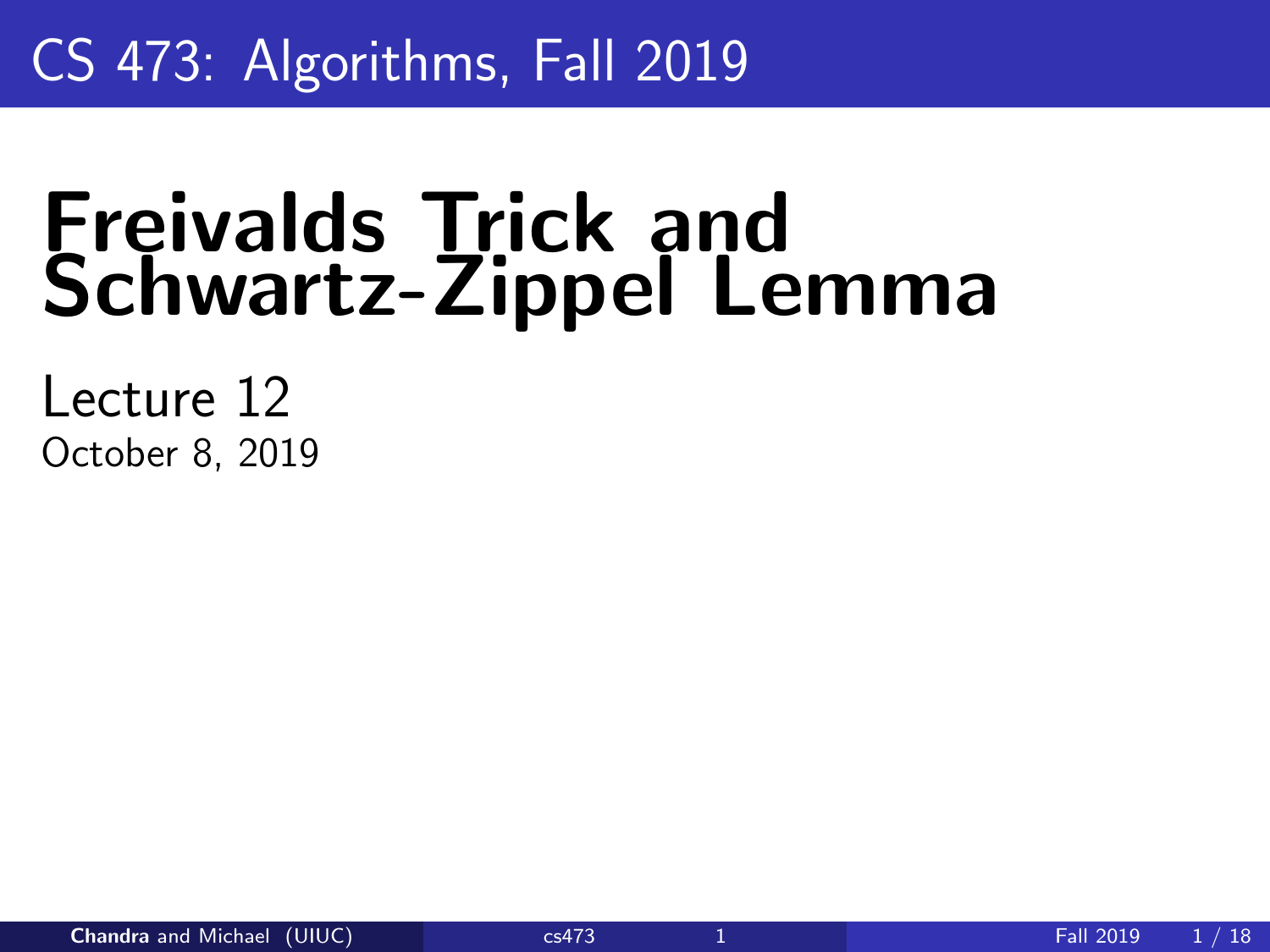# <span id="page-0-0"></span>CS 473: Algorithms, Fall 2019

# Freivalds Trick and Schwartz-Zippel Lemma

Lecture 12 October 8, 2019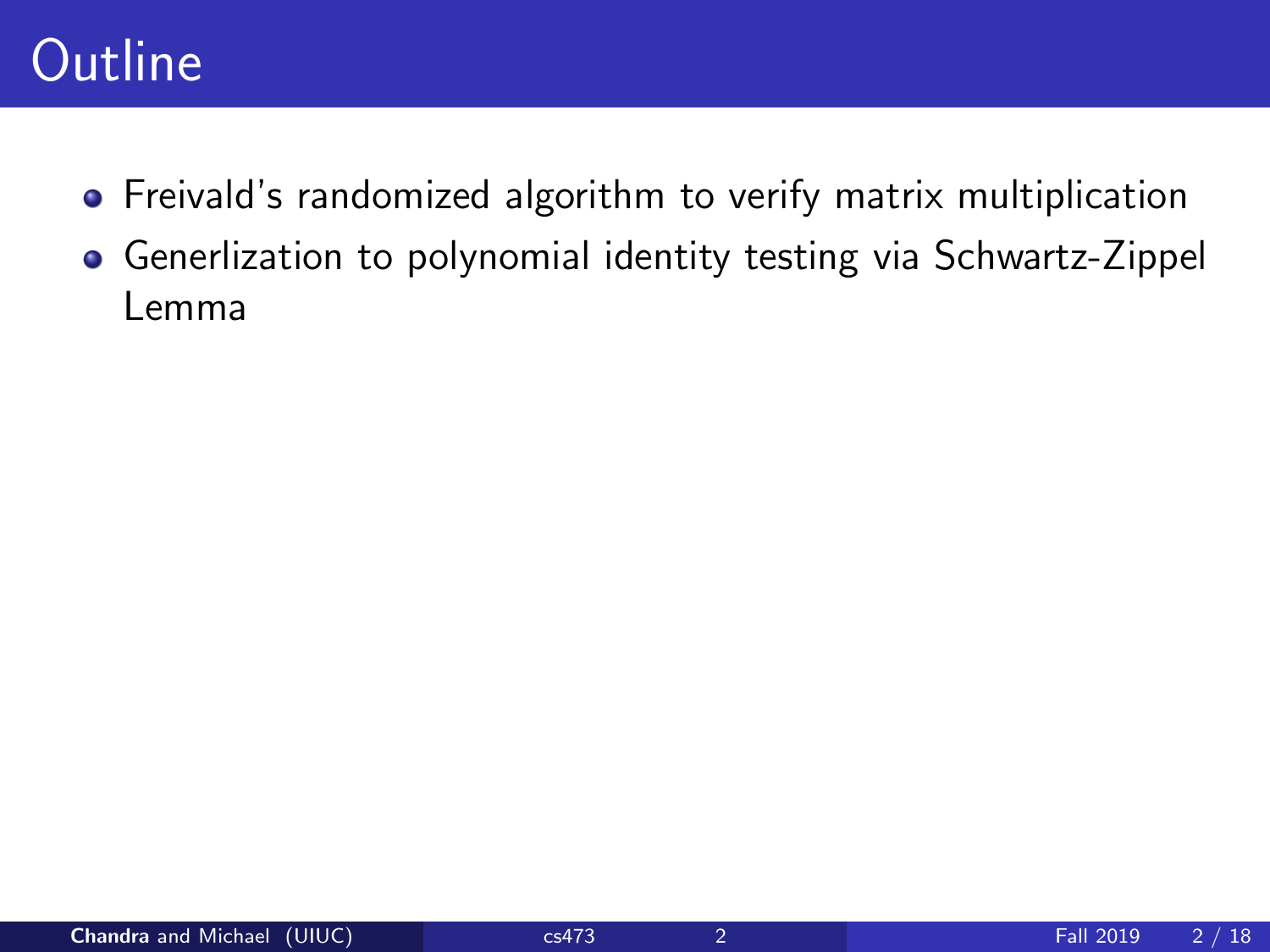### **Outline**

- Freivald's randomized algorithm to verify matrix multiplication
- Generlization to polynomial identity testing via Schwartz-Zippel Lemma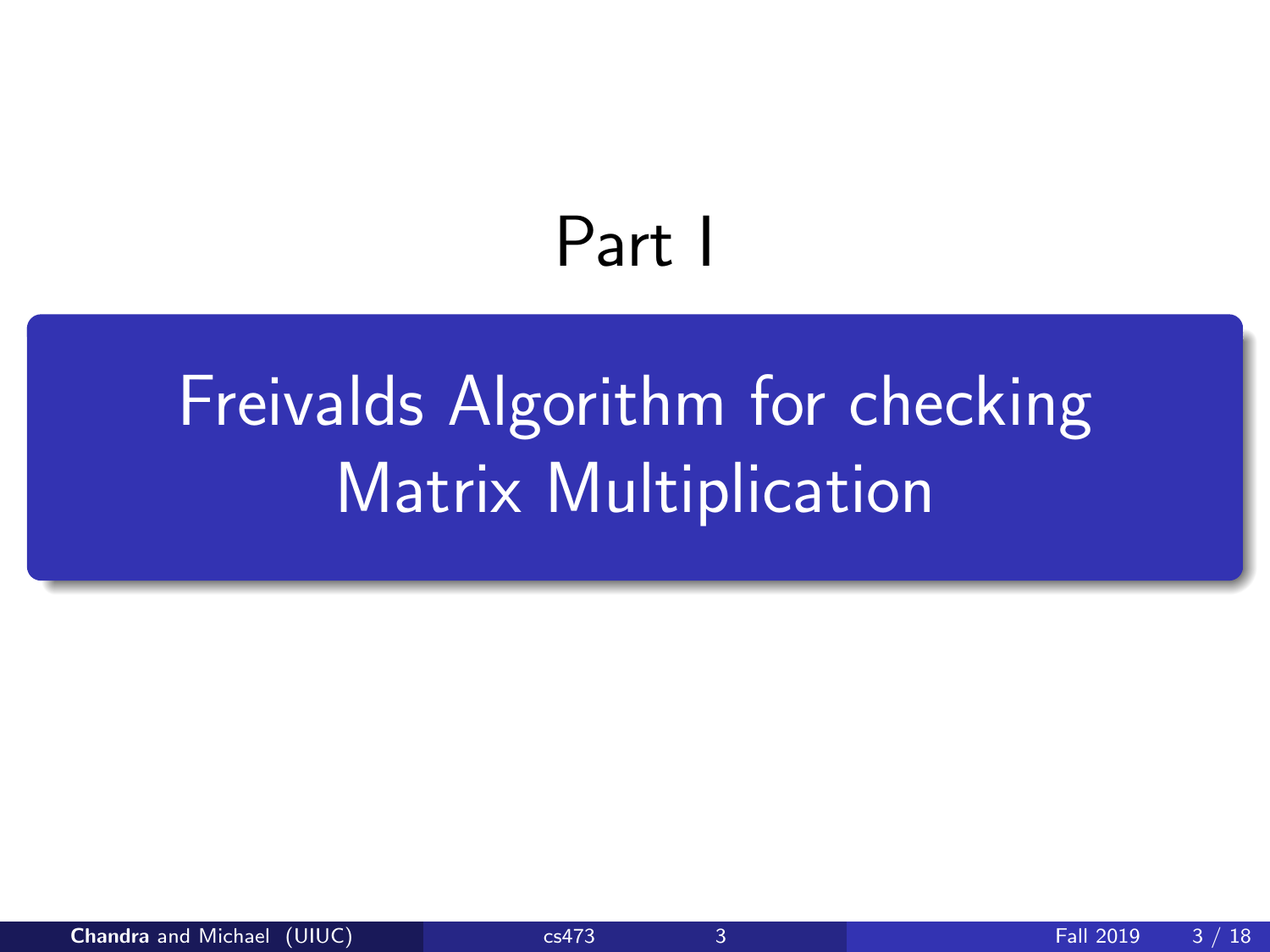# Part I

# <span id="page-2-0"></span>[Freivalds Algorithm for checking](#page-2-0) [Matrix Multiplication](#page-2-0)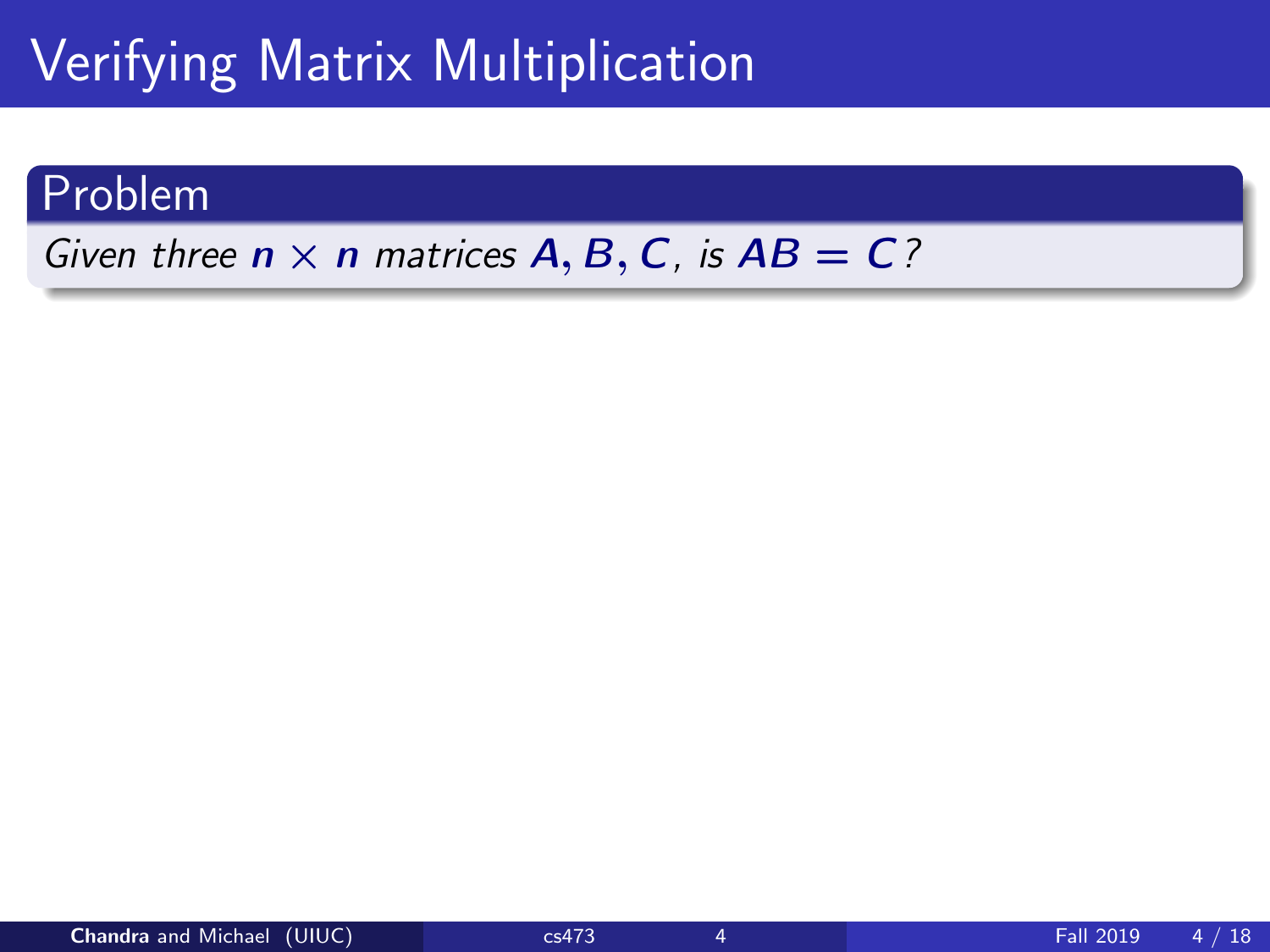# Verifying Matrix Multiplication

### Problem

Given three  $n \times n$  matrices  $A, B, C$ , is  $AB = C$ ?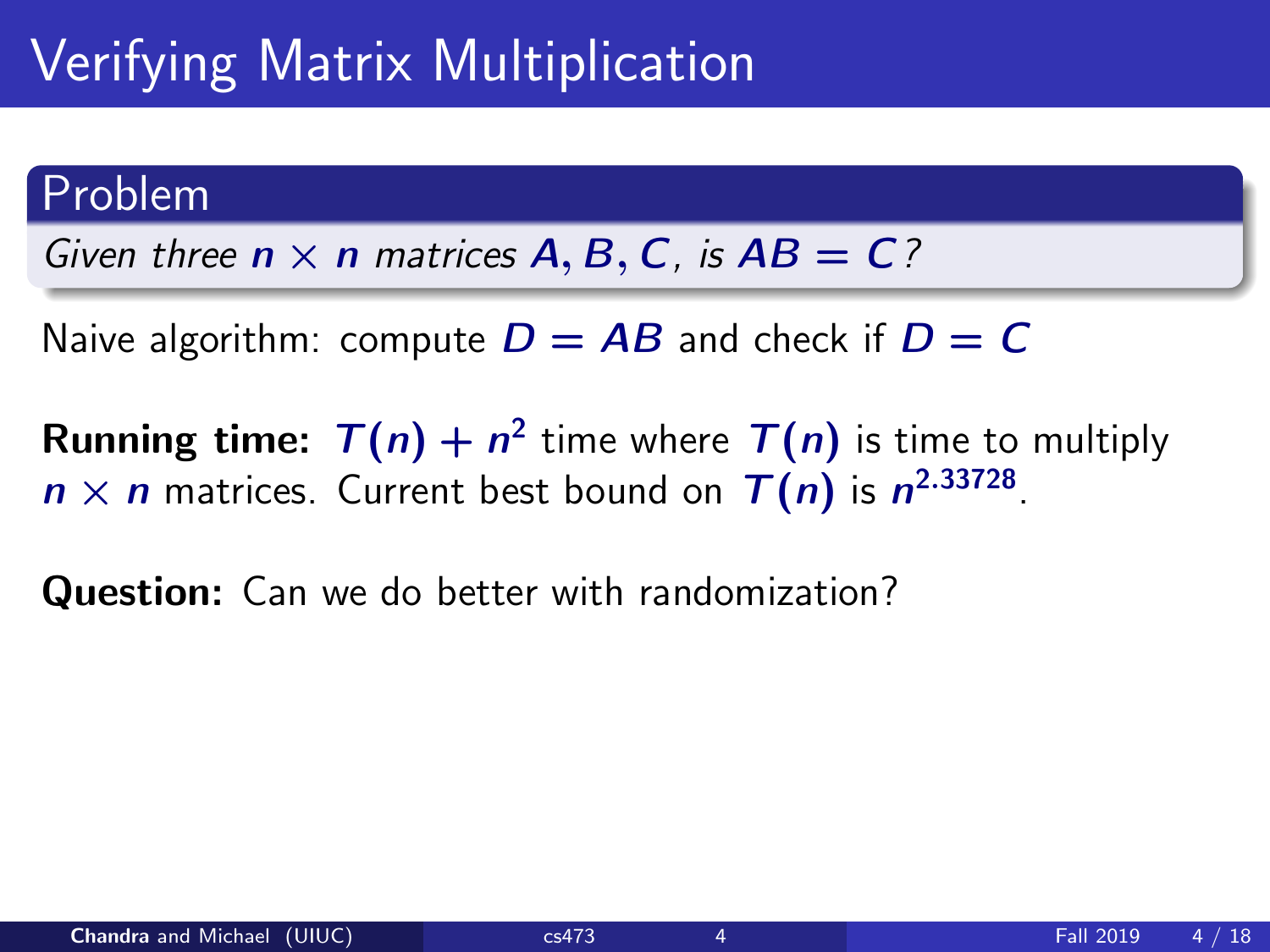# Verifying Matrix Multiplication

#### Problem

Given three  $n \times n$  matrices  $A, B, C$ , is  $AB = C$ ?

Naive algorithm: compute  $D = AB$  and check if  $D = C$ 

**Running time:**  $T(n) + n^2$  time where  $T(n)$  is time to multiply  $n \times n$  matrices. Current best bound on  $T(n)$  is  $n^{2.33728}$ .

Question: Can we do better with randomization?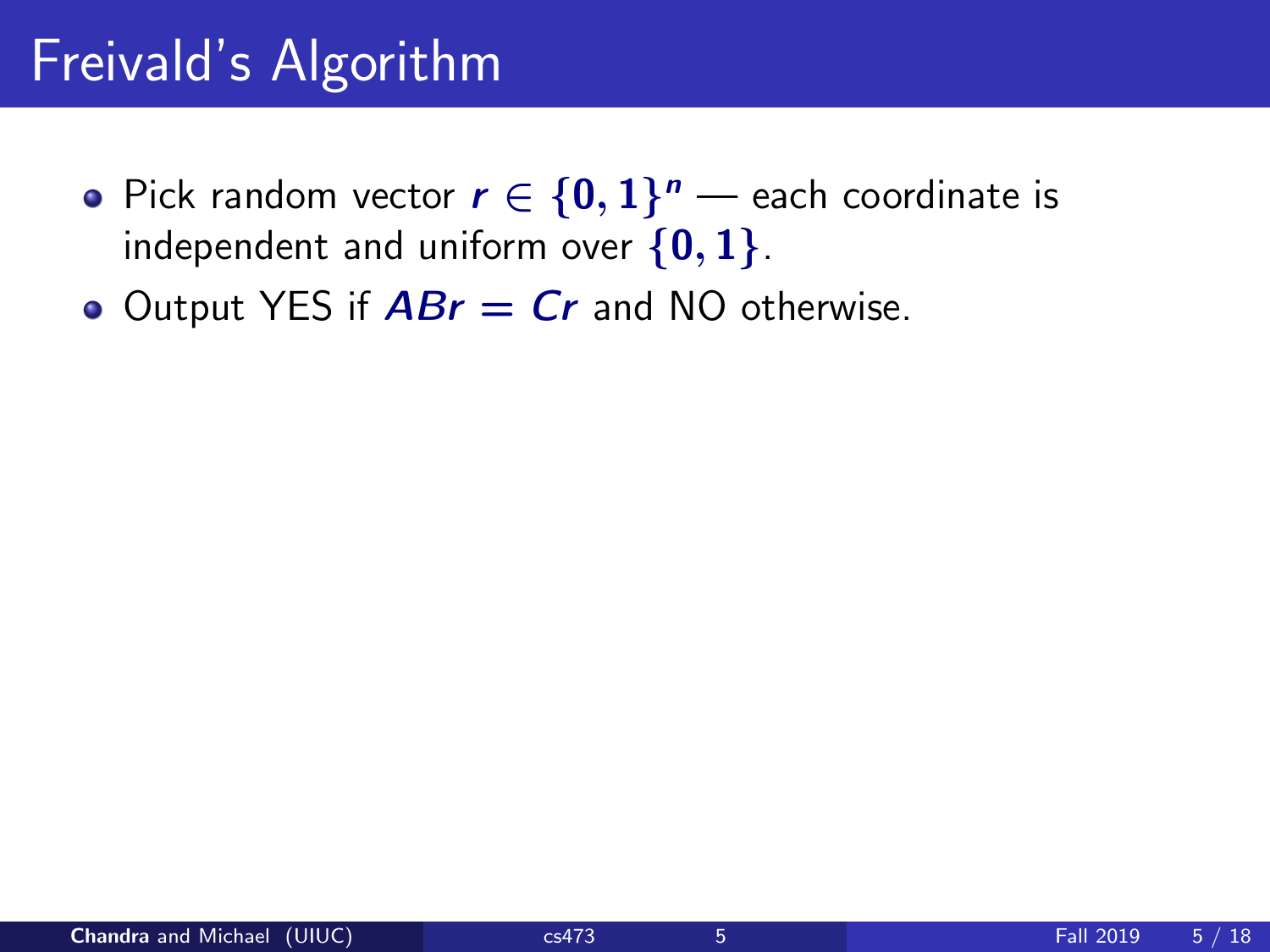# Freivald's Algorithm

- Pick random vector  $r \in \{0,1\}^n$  each coordinate is independent and uniform over  $\{0,1\}$ .
- Output YES if  $ABr = Cr$  and NO otherwise.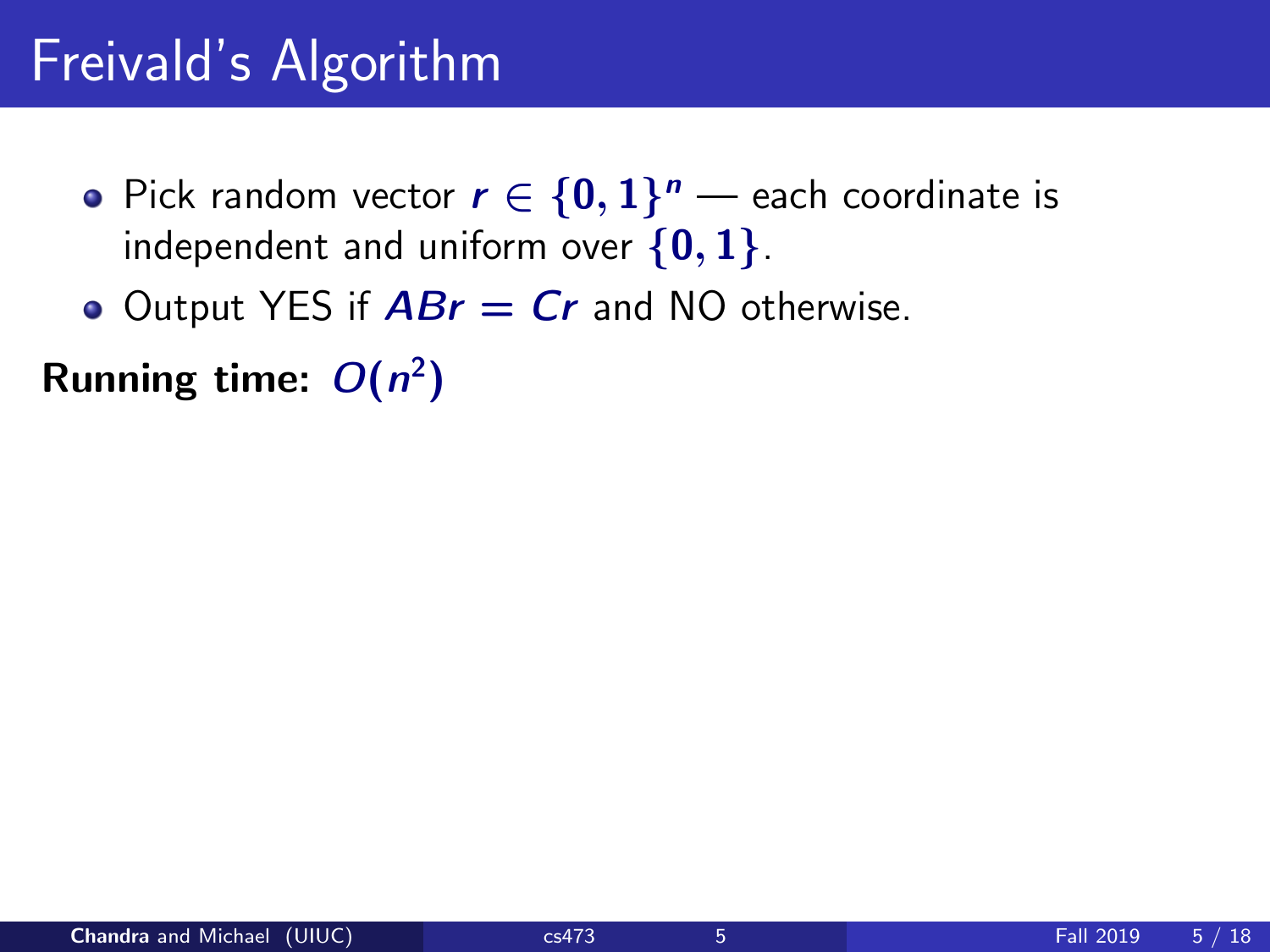# Freivald's Algorithm

- Pick random vector  $r \in \{0,1\}^n$  each coordinate is independent and uniform over  $\{0,1\}$ .
- $\bullet$  Output YES if  $ABr = Cr$  and NO otherwise.

Running time:  $O(n^2)$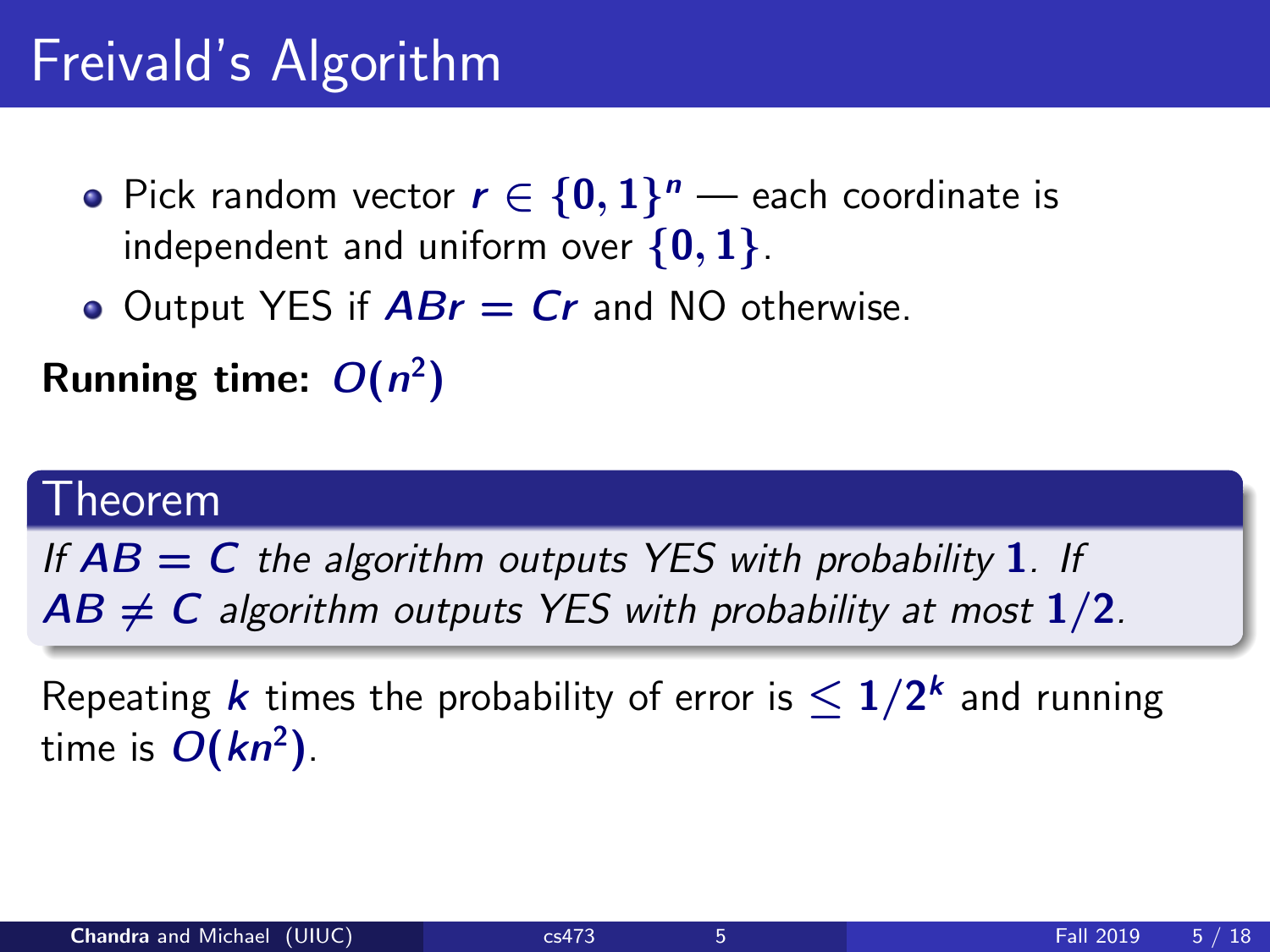# Freivald's Algorithm

- Pick random vector  $r \in \{0,1\}^n$  each coordinate is independent and uniform over  $\{0, 1\}$ .
- Output YES if  $ABr = Cr$  and NO otherwise.

### Running time:  $O(n^2)$

#### Theorem

If  $AB = C$  the algorithm outputs YES with probability 1. If  $AB \neq C$  algorithm outputs YES with probability at most  $1/2$ .

Repeating  $k$  times the probability of error is  $\leq 1/2^k$  and running time is  $O(kn^2)$ .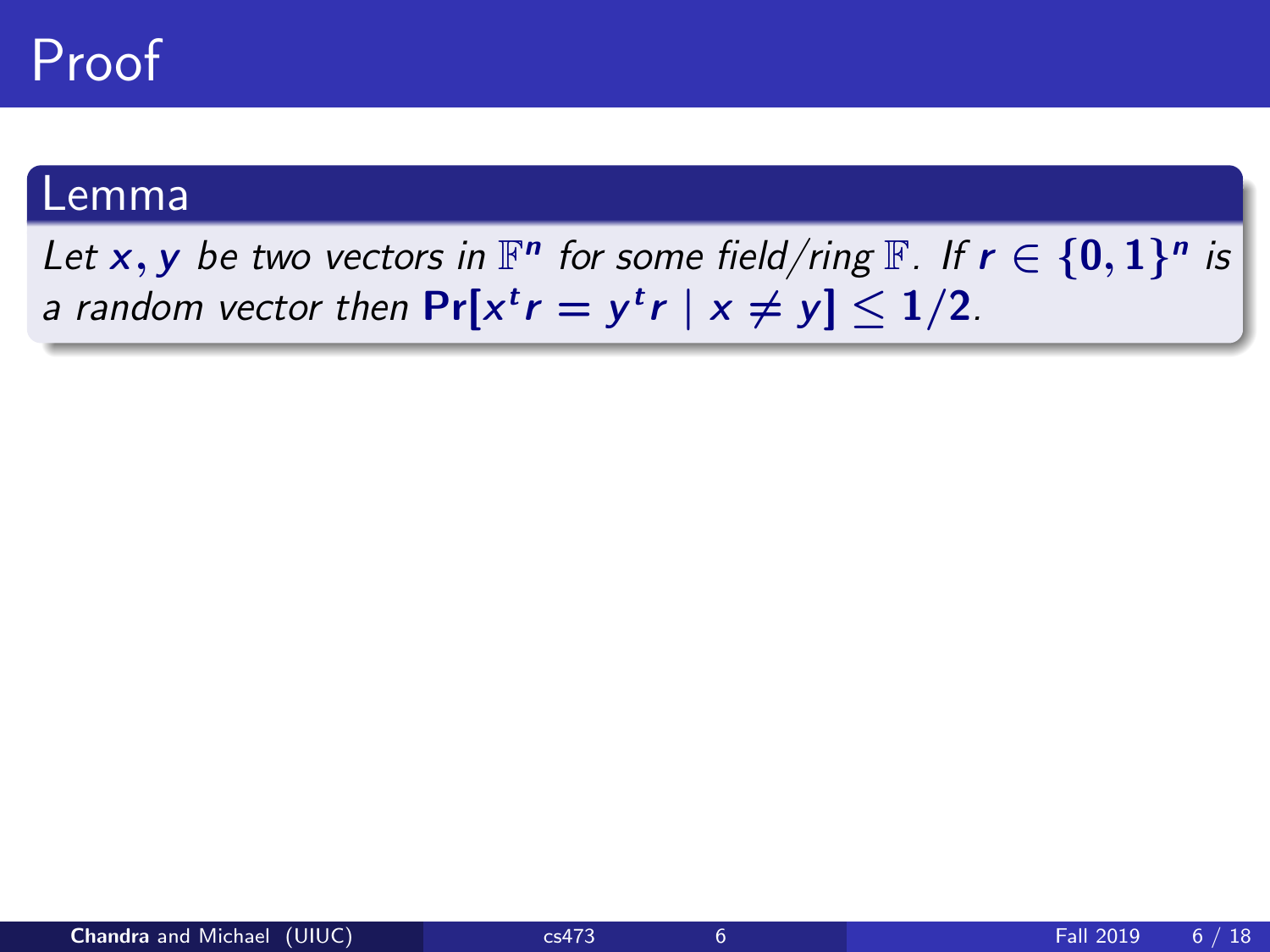Let x, y be two vectors in  $\mathbb{F}^n$  for some field/ring  $\mathbb{F}$ . If  $r \in \{0,1\}^n$  is a random vector then  $Pr[x^t r = y^t r \mid x \neq y] \leq 1/2$ .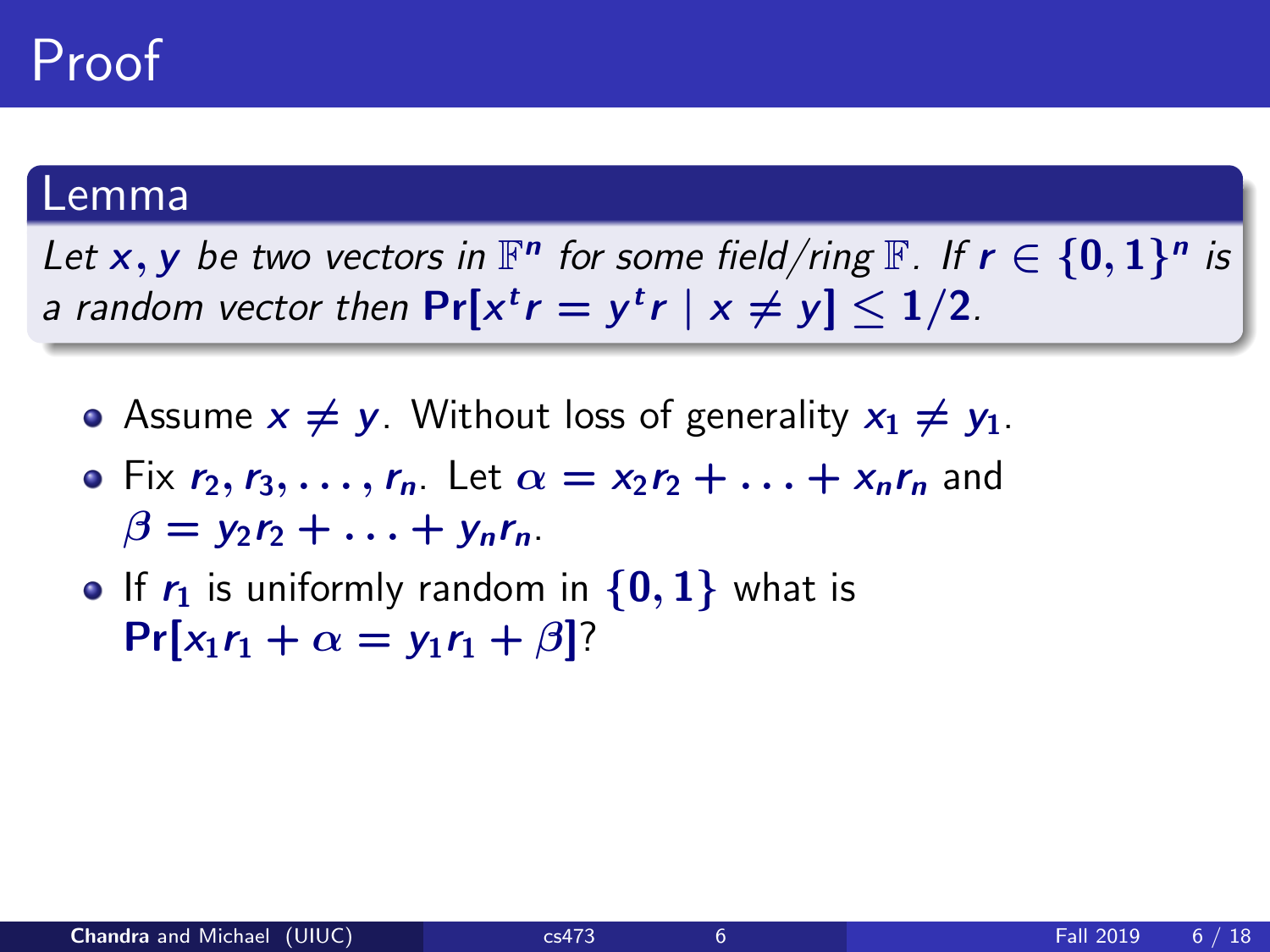Let x, y be two vectors in  $\mathbb{F}^n$  for some field/ring  $\mathbb{F}$ . If  $r \in \{0,1\}^n$  is a random vector then  $Pr[x^t r = y^t r \mid x \neq y] \leq 1/2$ .

- Assume  $x \neq y$ . Without loss of generality  $x_1 \neq y_1$ .
- Fix  $r_2, r_3, \ldots, r_n$ . Let  $\alpha = x_2r_2 + \ldots + x_nr_n$  and  $\beta = y_2r_2 + \ldots + y_n r_n.$
- If  $r_1$  is uniformly random in  $\{0, 1\}$  what is  $Pr[x_1r_1 + \alpha = y_1r_1 + \beta]$ ?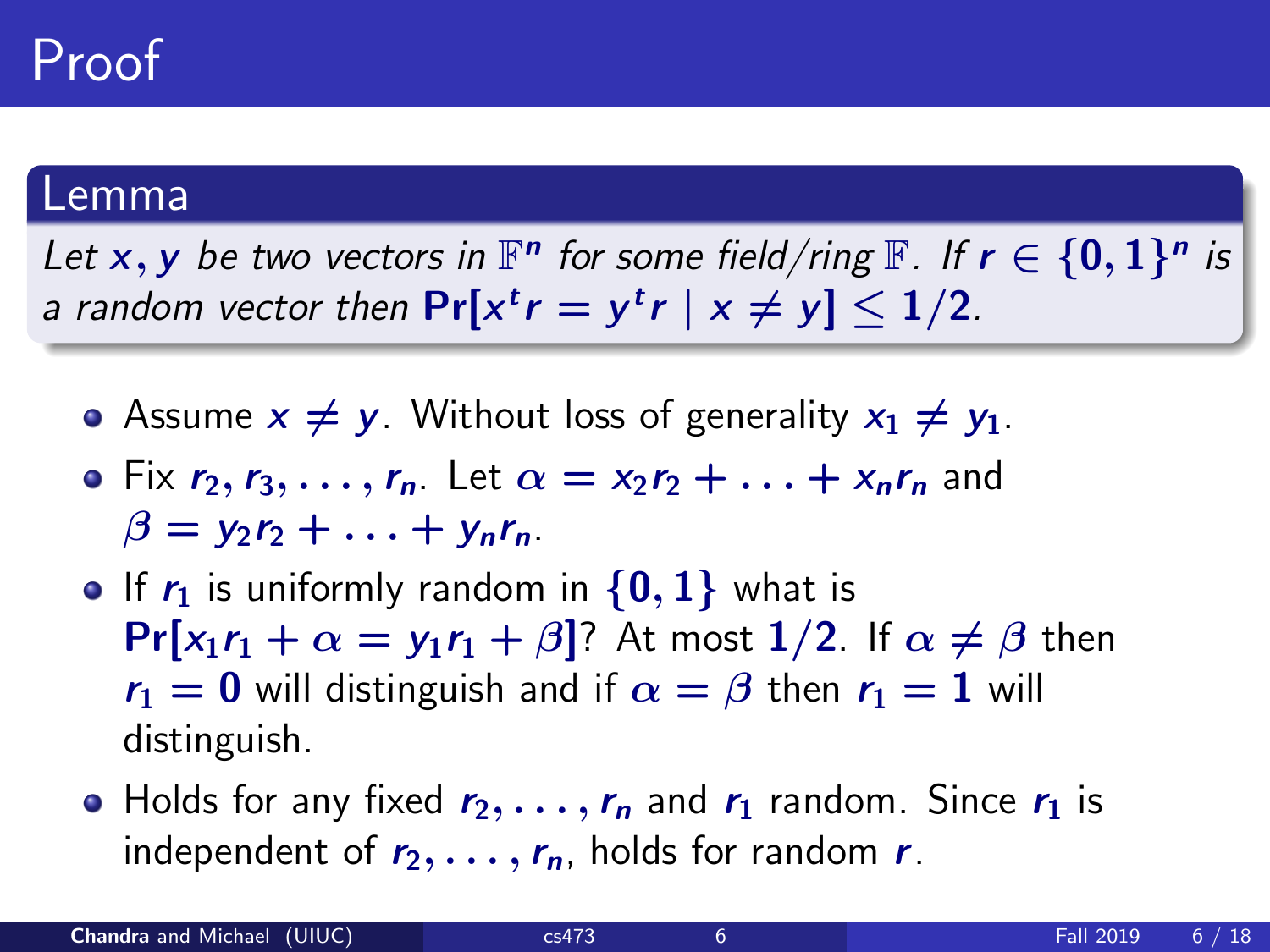Let x, y be two vectors in  $\mathbb{F}^n$  for some field/ring  $\mathbb{F}$ . If  $r \in \{0,1\}^n$  is a random vector then  $Pr[x^t r = y^t r \mid x \neq y] \leq 1/2$ .

- Assume  $x \neq y$ . Without loss of generality  $x_1 \neq y_1$ .
- Fix  $r_2, r_3, \ldots, r_n$ . Let  $\alpha = x_2r_2 + \ldots + x_nr_n$  and  $\beta = y_2r_2 + \ldots + y_n r_n.$
- If  $r_1$  is uniformly random in  $\{0, 1\}$  what is  $Pr[x_1r_1 + \alpha = v_1r_1 + \beta]$ ? At most 1/2. If  $\alpha \neq \beta$  then  $r_1 = 0$  will distinguish and if  $\alpha = \beta$  then  $r_1 = 1$  will distinguish.
- Holds for any fixed  $r_2, \ldots, r_n$  and  $r_1$  random. Since  $r_1$  is independent of  $r_2, \ldots, r_n$ , holds for random r.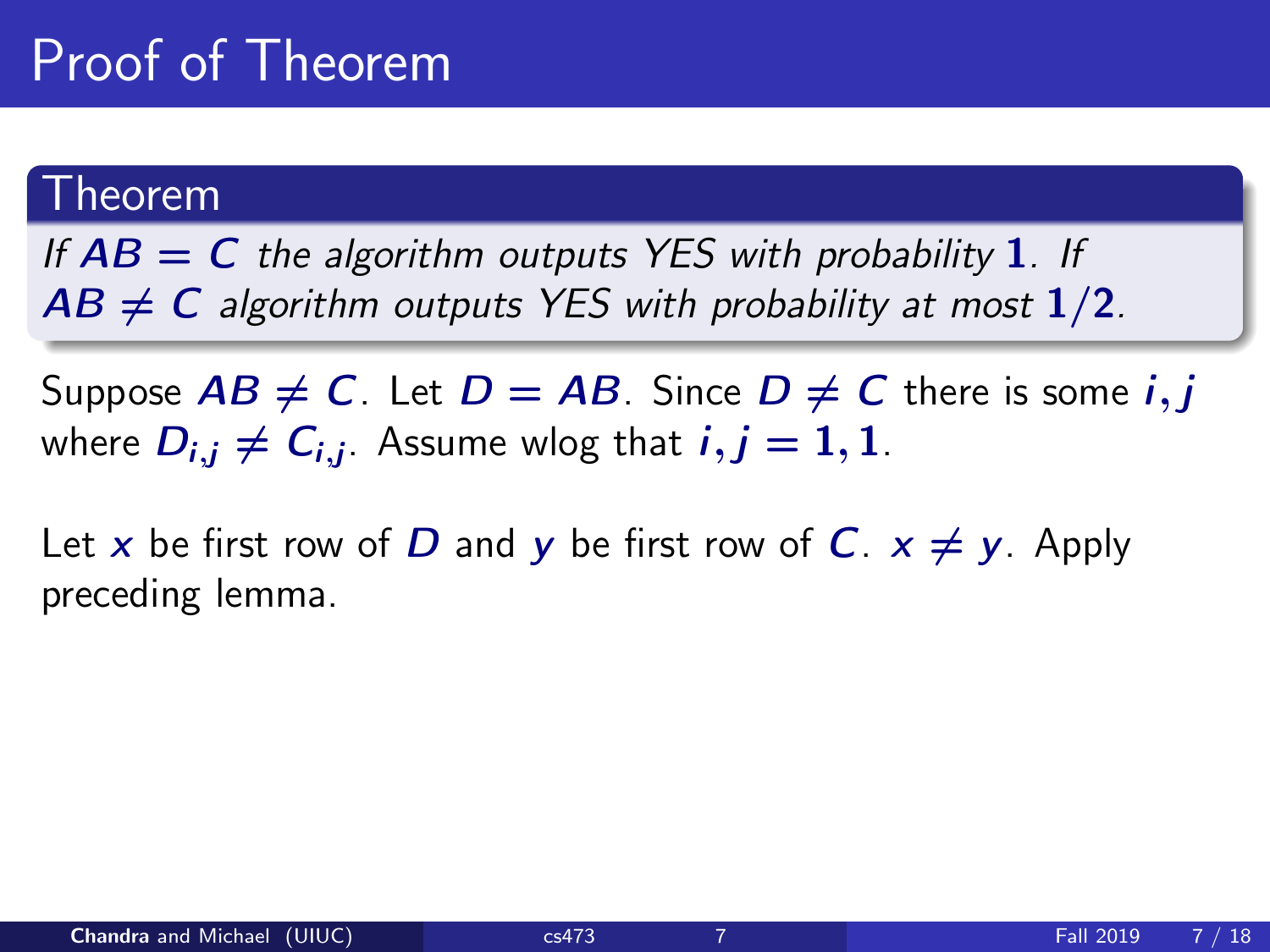# Proof of Theorem

#### Theorem

If  $AB = C$  the algorithm outputs YES with probability 1. If  $AB \neq C$  algorithm outputs YES with probability at most  $1/2$ .

Suppose  $AB \neq C$ . Let  $D = AB$ . Since  $D \neq C$  there is some *i*, *j* where  $D_{i,j}\neq C_{i,j}$ . Assume wlog that  $i,j=1,1$ .

Let x be first row of D and y be first row of C.  $x \neq y$ . Apply preceding lemma.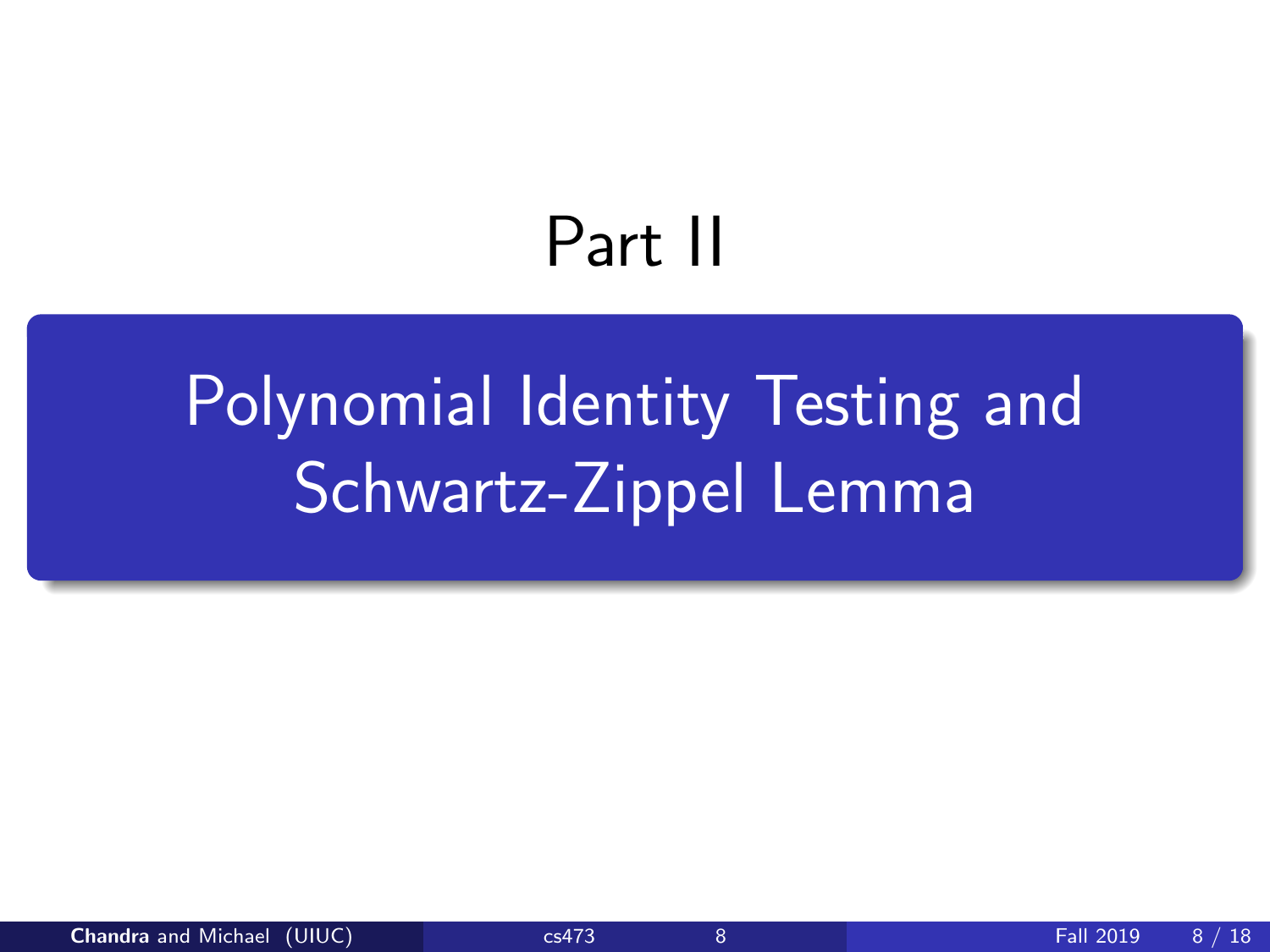# Part II

# <span id="page-12-0"></span>[Polynomial Identity Testing and](#page-12-0) [Schwartz-Zippel Lemma](#page-12-0)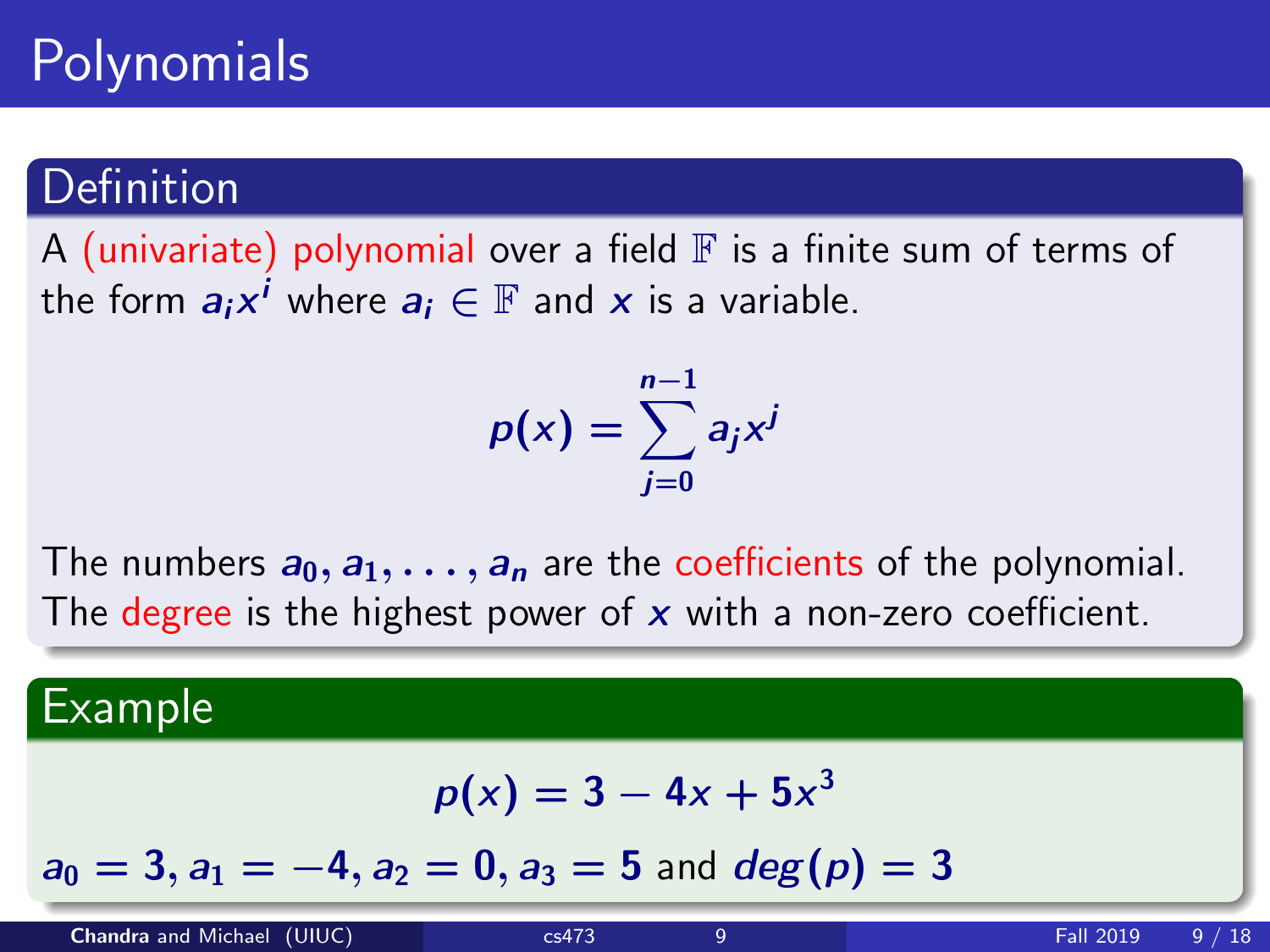# Polynomials

### **Definition**

A (univariate) polynomial over a field  $\mathbb F$  is a finite sum of terms of the form  $a_ix^i$  where  $a_i \in \mathbb{F}$  and  $x$  is a variable.

$$
p(x) = \sum_{j=0}^{n-1} a_j x^j
$$

The numbers  $a_0, a_1, \ldots, a_n$  are the coefficients of the polynomial. The degree is the highest power of  $x$  with a non-zero coefficient.

#### Example

$$
p(x)=3-4x+5x^3
$$

 $a_0 = 3$ ,  $a_1 = -4$ ,  $a_2 = 0$ ,  $a_3 = 5$  and  $deg(p) = 3$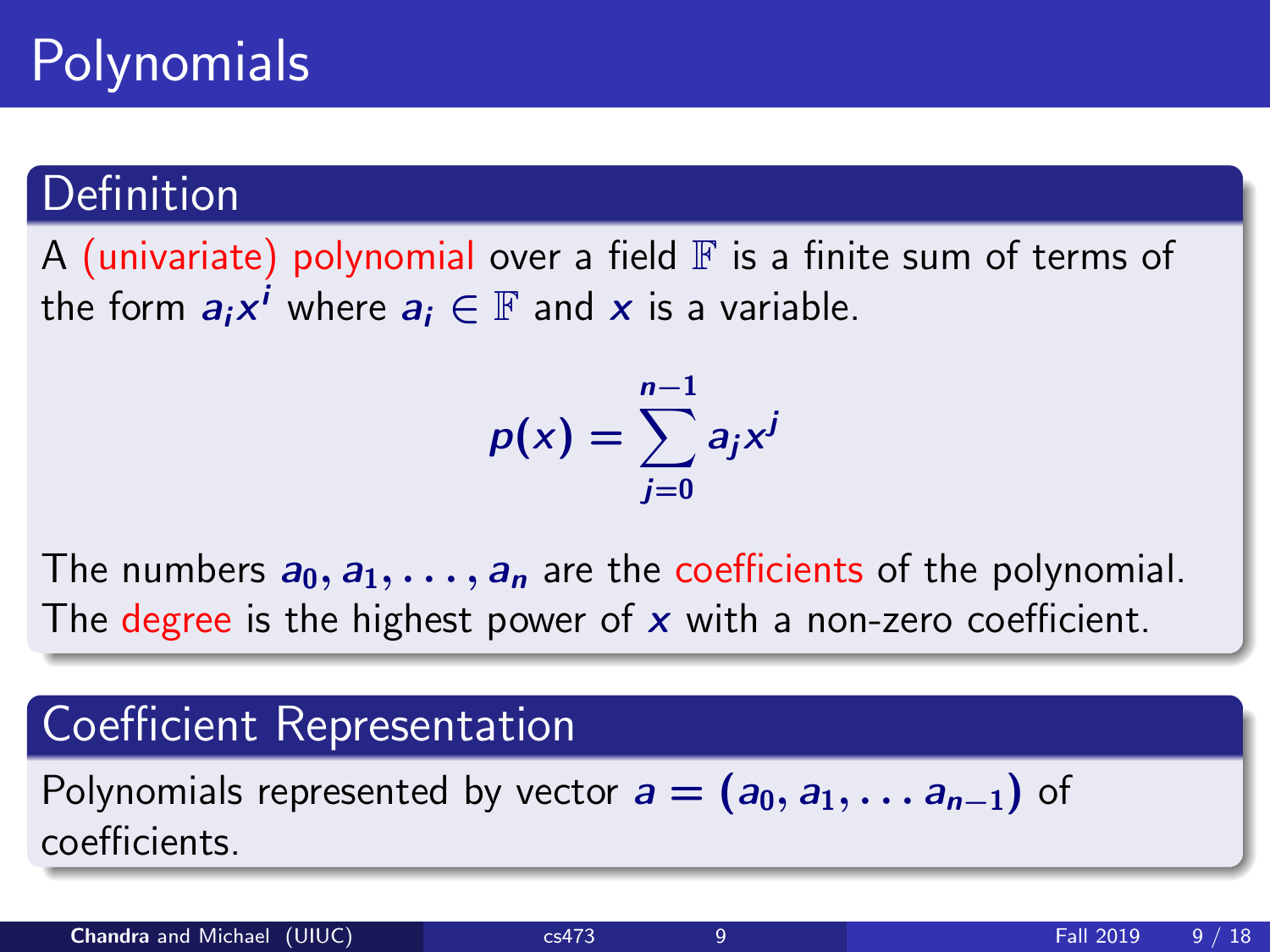# Polynomials

### **Definition**

A (univariate) polynomial over a field  $\mathbb F$  is a finite sum of terms of the form  $\boldsymbol{a}_i\boldsymbol{x}^i$  where  $\boldsymbol{a}_i\in\mathbb{F}$  and  $\boldsymbol{x}$  is a variable.

$$
p(x) = \sum_{j=0}^{n-1} a_j x^j
$$

The numbers  $a_0, a_1, \ldots, a_n$  are the coefficients of the polynomial. The degree is the highest power of  $x$  with a non-zero coefficient.

### Coefficient Representation

Polynomials represented by vector  $a = (a_0, a_1, \ldots, a_{n-1})$  of coefficients.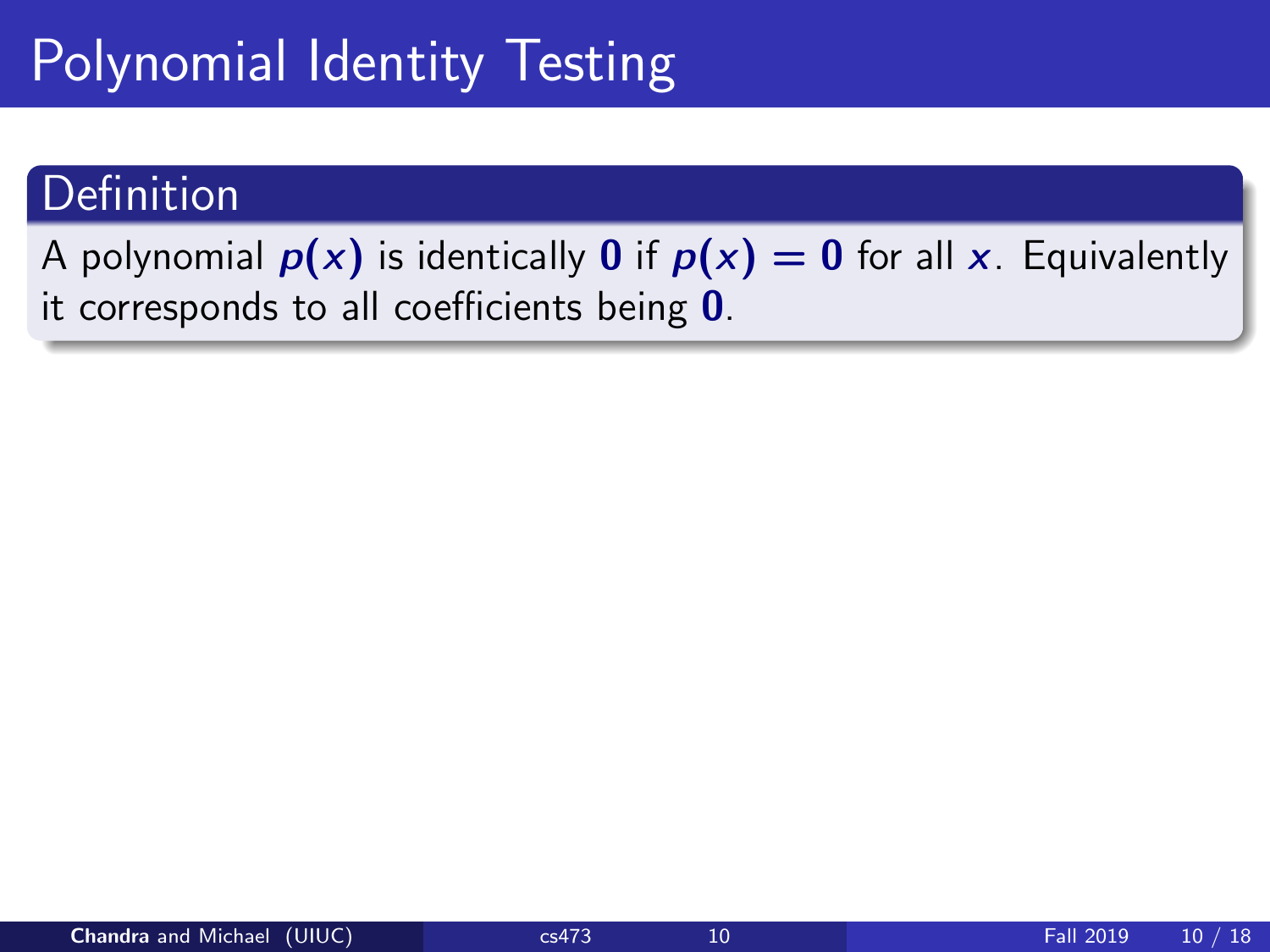# Polynomial Identity Testing

### Definition

A polynomial  $p(x)$  is identically 0 if  $p(x) = 0$  for all x. Equivalently it corresponds to all coefficients being  $0$ .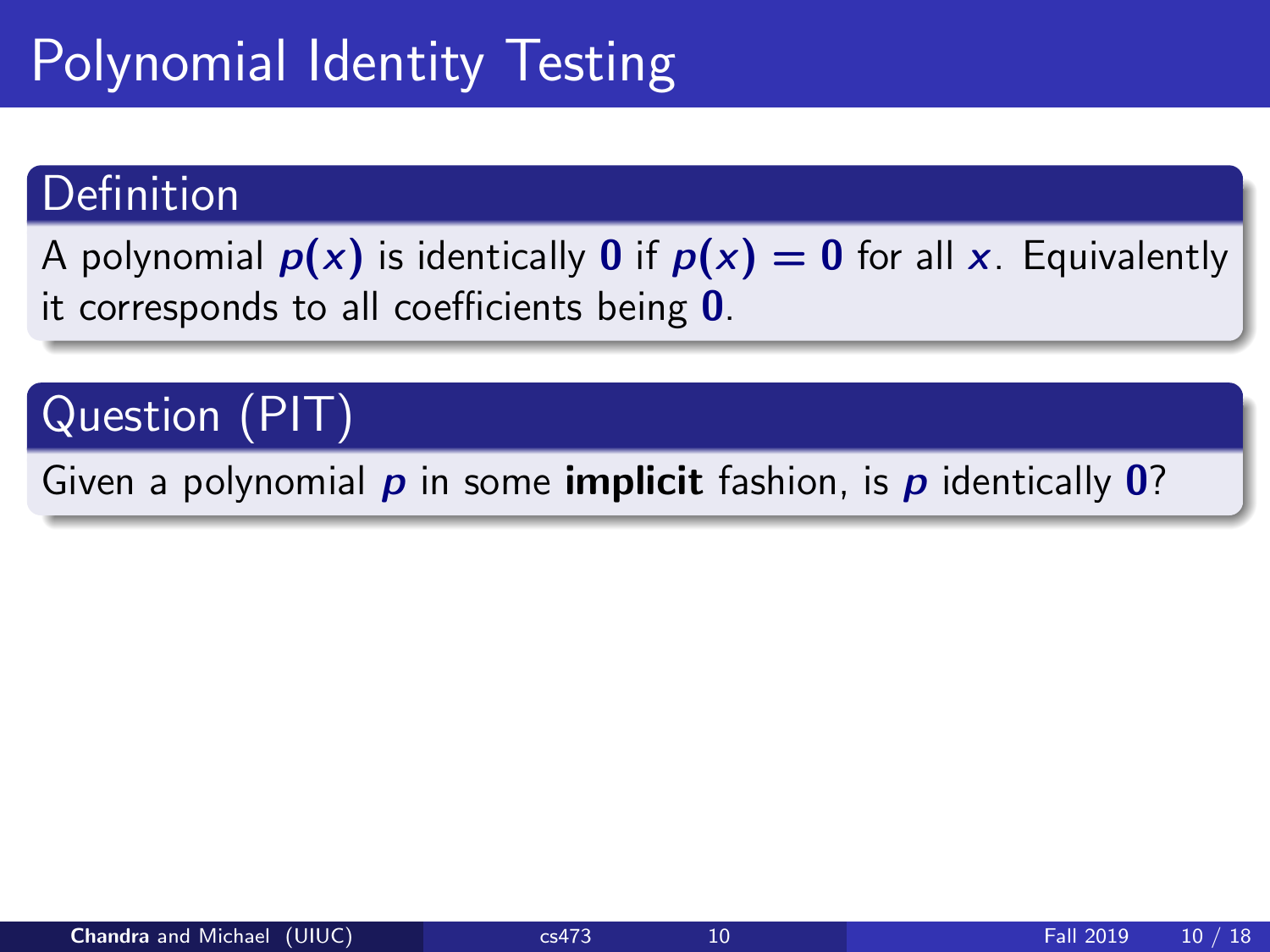# Polynomial Identity Testing

### Definition

A polynomial  $p(x)$  is identically 0 if  $p(x) = 0$  for all x. Equivalently it corresponds to all coefficients being 0.

### Question (PIT)

Given a polynomial  $p$  in some **implicit** fashion, is  $p$  identically  $\mathbf{0}$ ?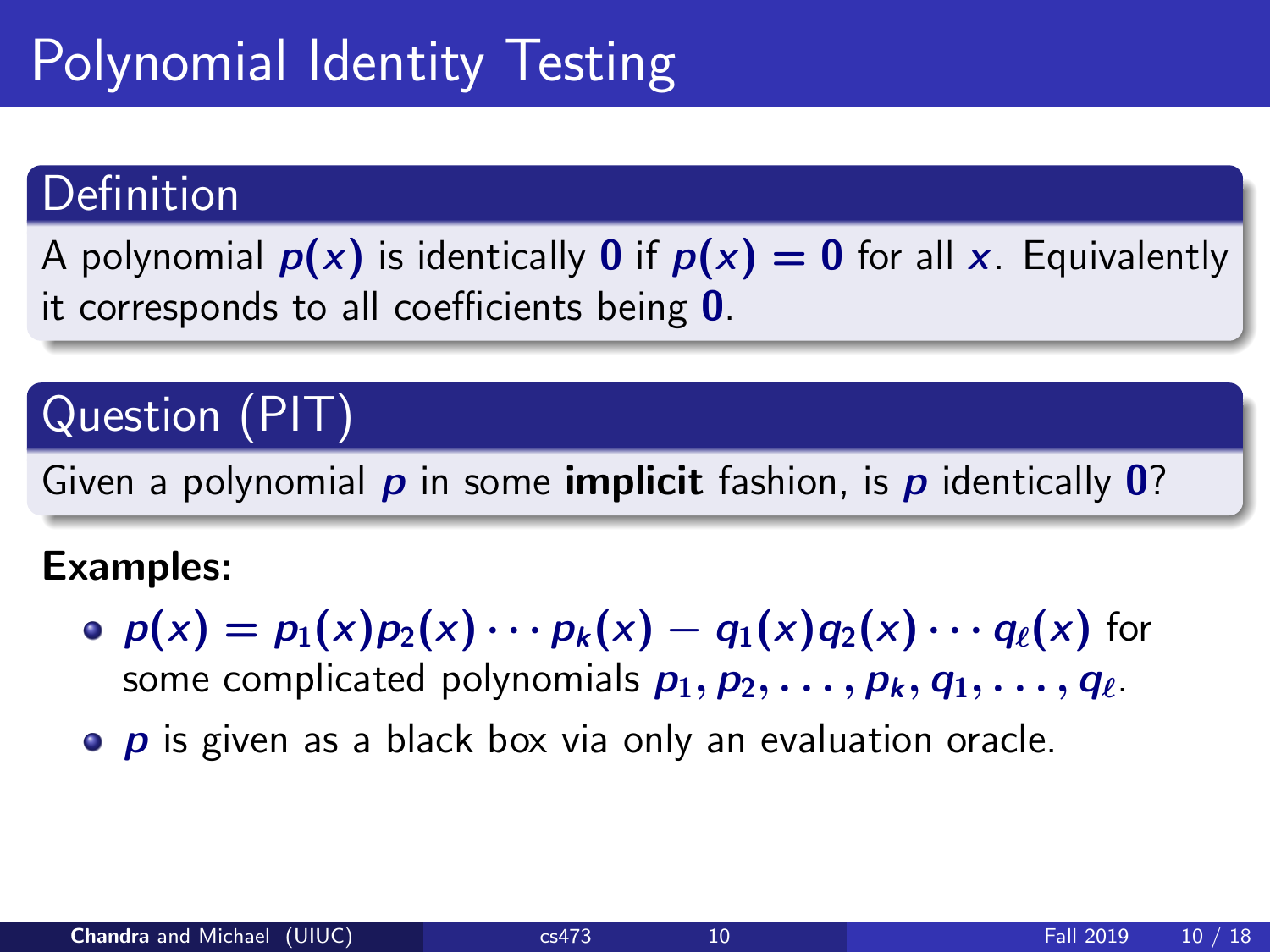# Polynomial Identity Testing

### Definition

A polynomial  $p(x)$  is identically 0 if  $p(x) = 0$  for all x. Equivalently it corresponds to all coefficients being  $0$ .

### Question (PIT)

Given a polynomial  $p$  in some **implicit** fashion, is  $p$  identically  $\mathbf{0}$ ?

#### Examples:

- $p(x) = p_1(x)p_2(x) \cdots p_k(x) q_1(x)q_2(x) \cdots q_\ell(x)$  for some complicated polynomials  $p_1, p_2, \ldots, p_k, q_1, \ldots, q_\ell$ .
- $\bullet$   $\bullet$  is given as a black box via only an evaluation oracle.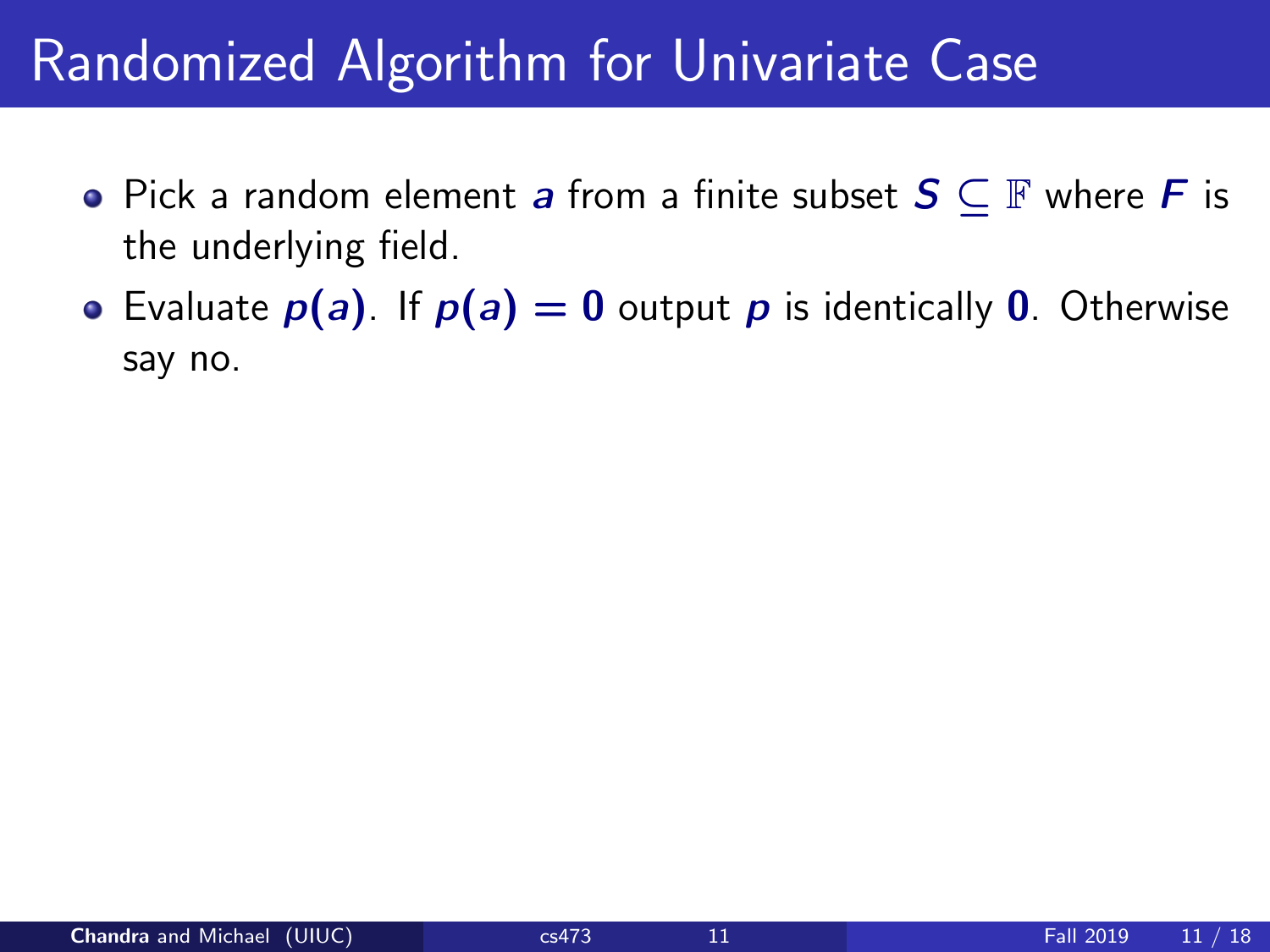## Randomized Algorithm for Univariate Case

- Pick a random element a from a finite subset  $S \subseteq \mathbb{F}$  where F is the underlying field.
- Evaluate  $p(a)$ . If  $p(a) = 0$  output p is identically 0. Otherwise say no.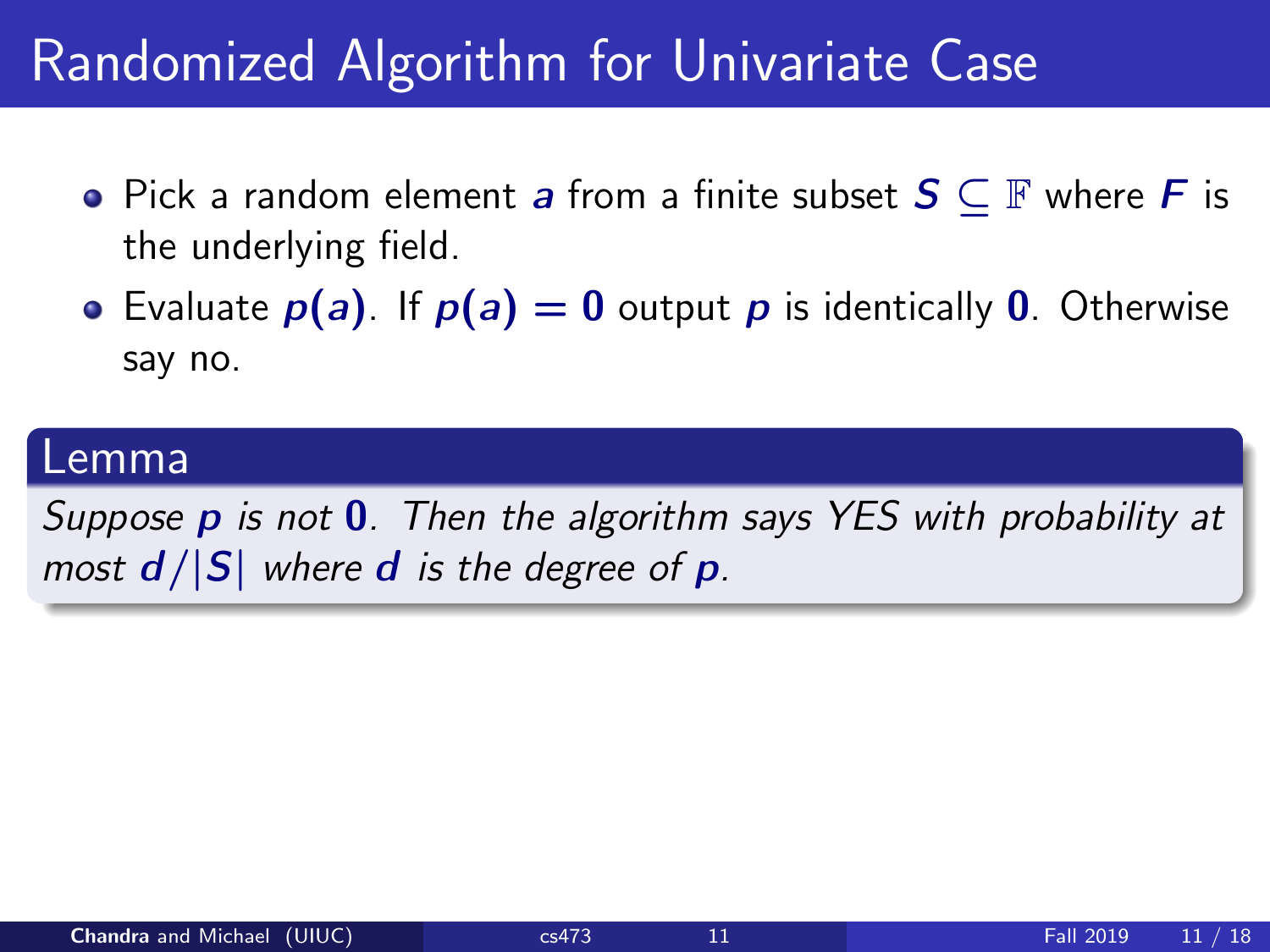## Randomized Algorithm for Univariate Case

- Pick a random element a from a finite subset  $S \subseteq \mathbb{F}$  where F is the underlying field.
- Evaluate  $p(a)$ . If  $p(a) = 0$  output p is identically 0. Otherwise say no.

#### Lemma

Suppose p is not 0. Then the algorithm says YES with probability at most  $d/|S|$  where d is the degree of p.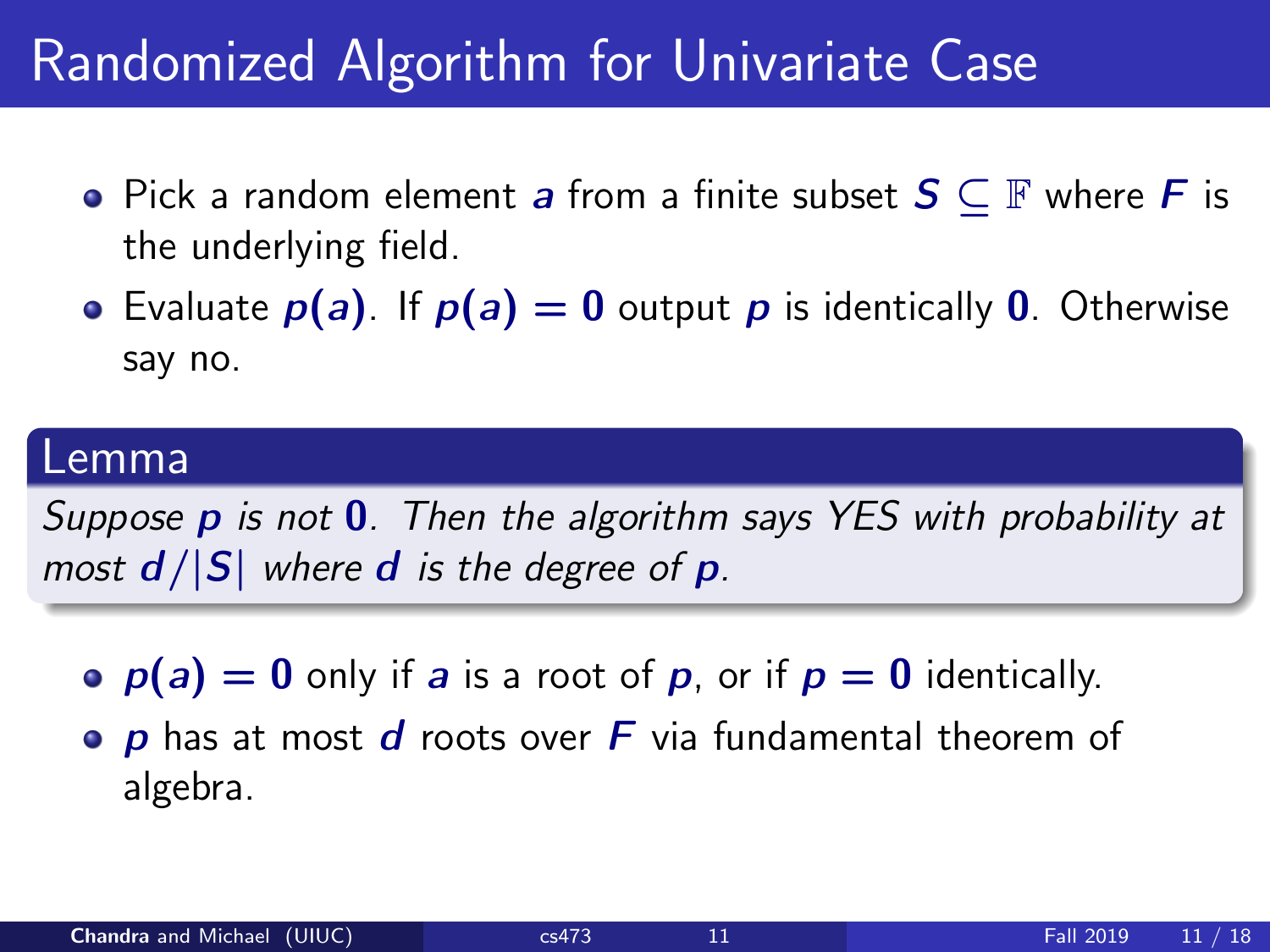## Randomized Algorithm for Univariate Case

- Pick a random element a from a finite subset  $S \subseteq \mathbb{F}$  where F is the underlying field.
- Evaluate  $p(a)$ . If  $p(a) = 0$  output p is identically 0. Otherwise say no.

#### Lemma

Suppose p is not 0. Then the algorithm says YES with probability at most  $d/|S|$  where d is the degree of p.

- $p(a) = 0$  only if a is a root of p, or if  $p = 0$  identically.
- $\bullet$  p has at most d roots over F via fundamental theorem of algebra.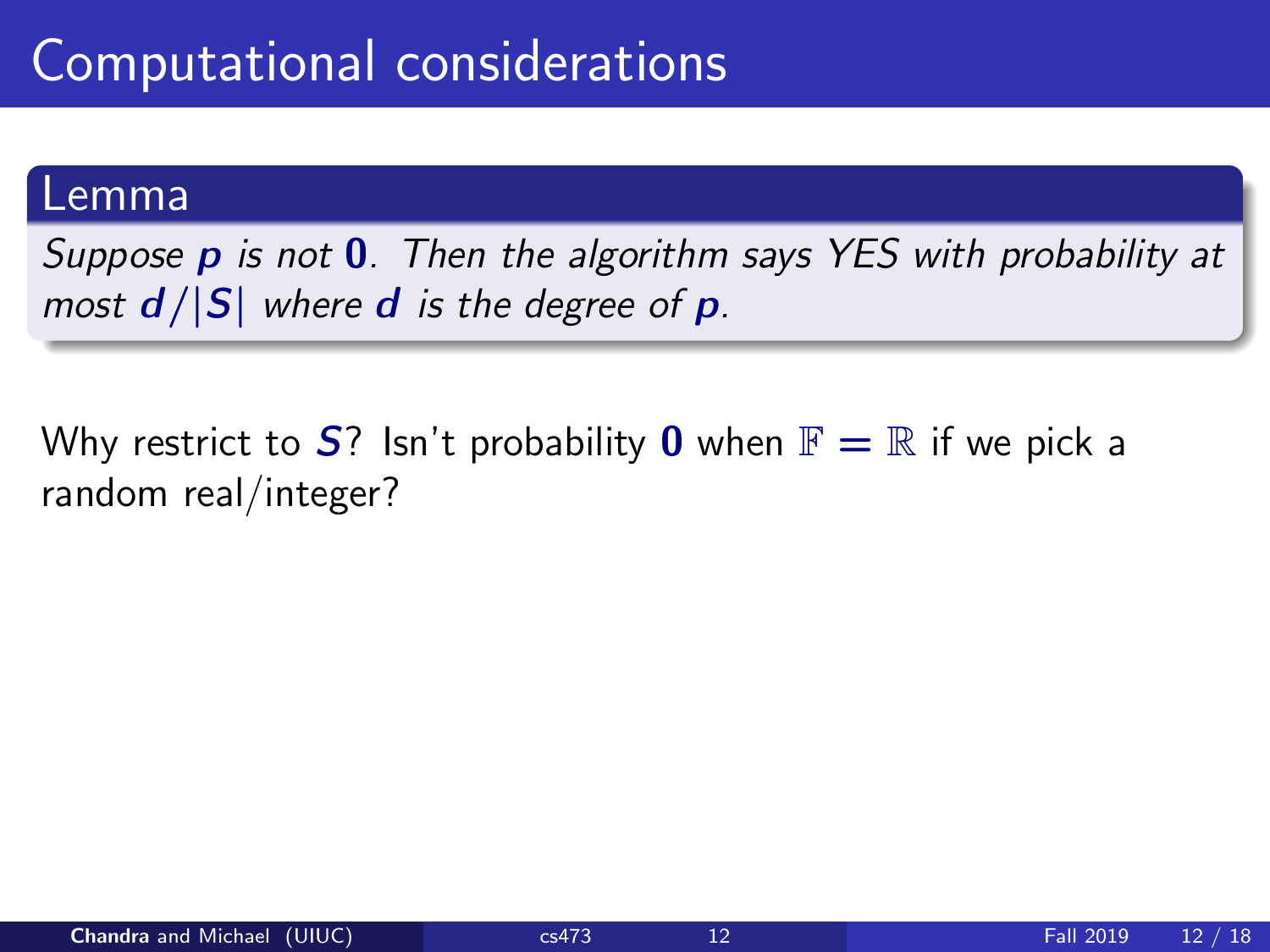Suppose  $p$  is not  $0$ . Then the algorithm says YES with probability at most  $d/|S|$  where d is the degree of p.

Why restrict to  $S$ ? Isn't probability 0 when  $\mathbb{F} = \mathbb{R}$  if we pick a random real/integer?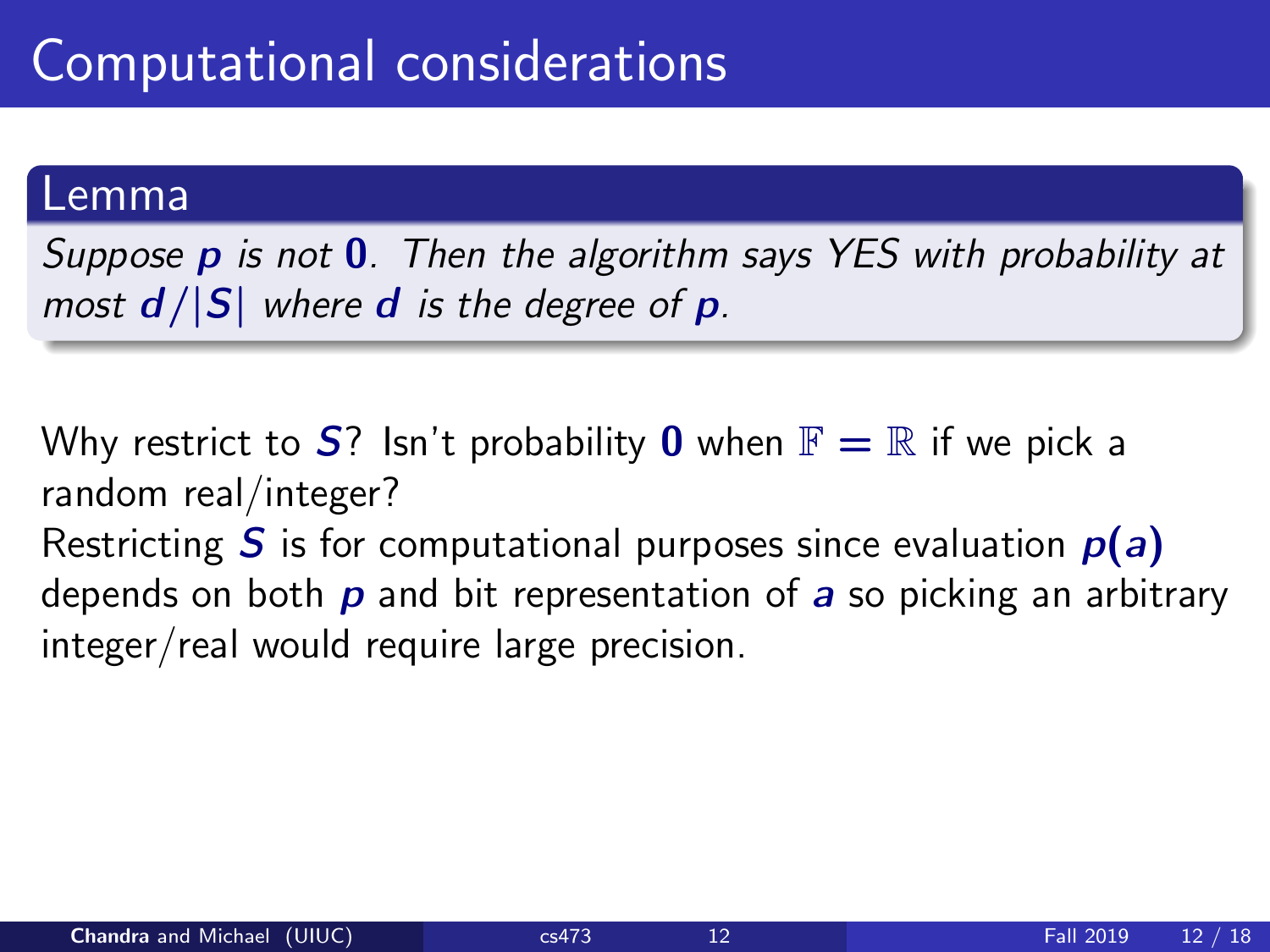Suppose  $p$  is not  $0$ . Then the algorithm says YES with probability at most  $d/|S|$  where d is the degree of p.

Why restrict to  $S$ ? Isn't probability 0 when  $\mathbb{F} = \mathbb{R}$  if we pick a random real/integer? Restricting S is for computational purposes since evaluation  $p(a)$ depends on both  $p$  and bit representation of  $a$  so picking an arbitrary

integer/real would require large precision.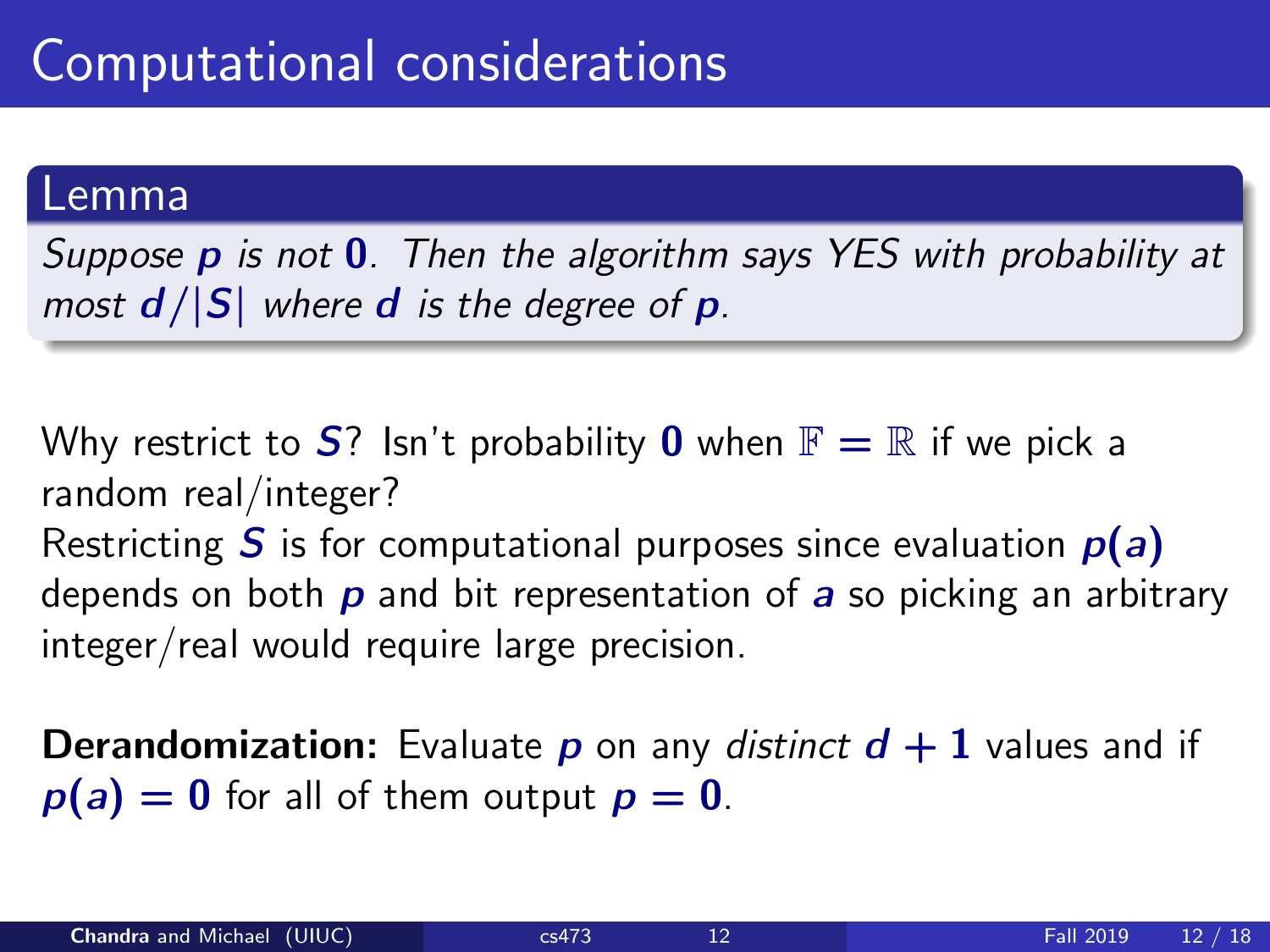Suppose  $p$  is not  $0$ . Then the algorithm says YES with probability at most  $d/|S|$  where d is the degree of p.

Why restrict to  $S$ ? Isn't probability 0 when  $\mathbb{F} = \mathbb{R}$  if we pick a random real/integer? Restricting S is for computational purposes since evaluation  $p(a)$ depends on both  $p$  and bit representation of  $a$  so picking an arbitrary integer/real would require large precision.

**Derandomization:** Evaluate **p** on any distinct  $d + 1$  values and if  $p(a) = 0$  for all of them output  $p = 0$ .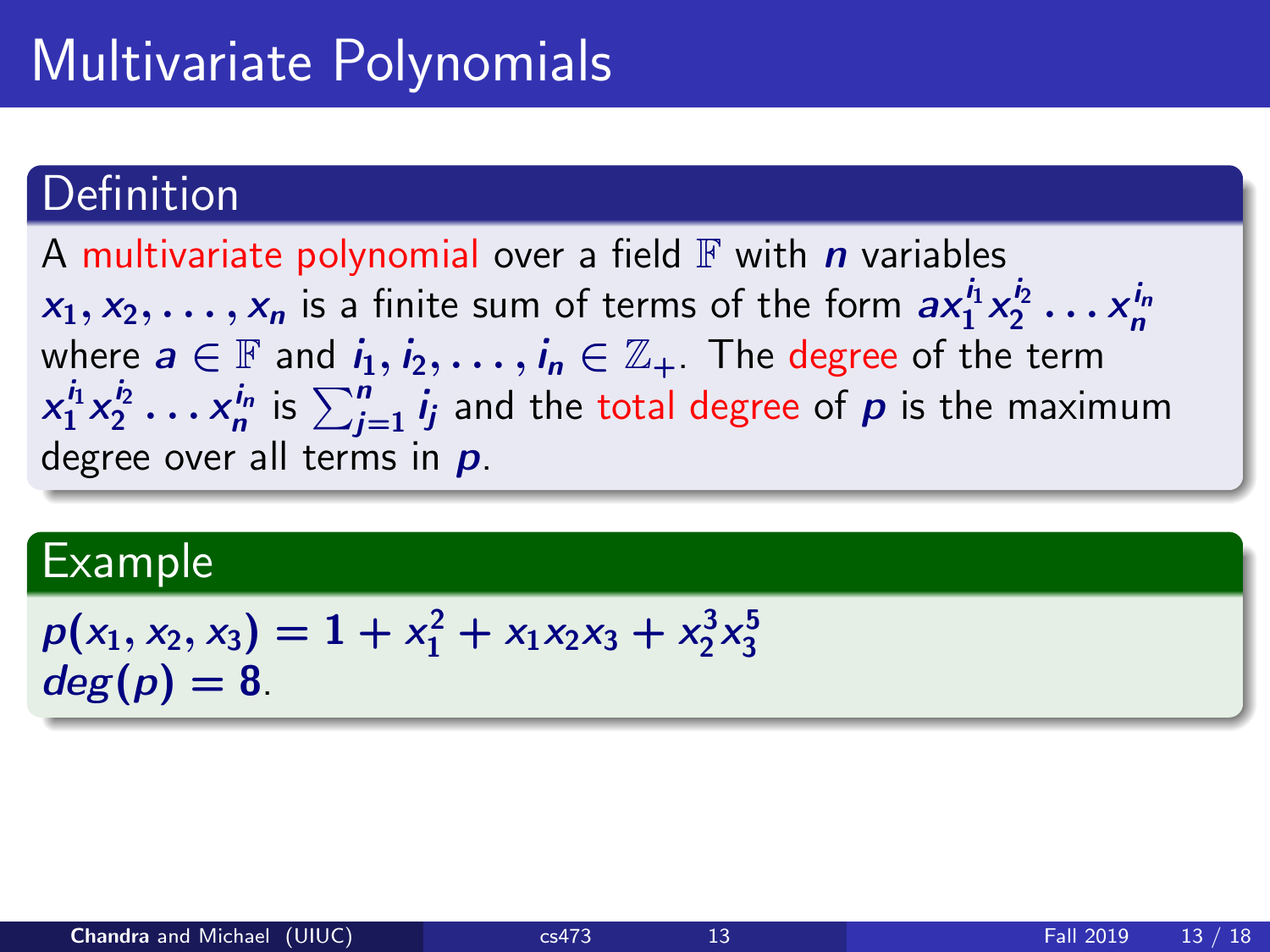## Multivariate Polynomials

### **Definition**

A multivariate polynomial over a field  $\mathbb F$  with n variables  $x_1, x_2, \ldots, x_n$  is a finite sum of terms of the form  $ax_1^{i_1}x_2^{i_2}\ldots x_n^{i_n}$ where  $a \in \mathbb{F}$  and  $i_1, i_2, \ldots, i_n \in \mathbb{Z}_+$ . The degree of the term  $x_1^{i_1}x_2^{i_2}\ldots x_n^{i_n}$  is  $\sum_{j=1}^n i_j$  and the total degree of  $\bm{\rho}$  is the maximum degree over all terms in  $p$ .

#### Example

$$
p(x_1, x_2, x_3) = 1 + x_1^2 + x_1x_2x_3 + x_2^3x_3^5
$$
  
deg(p) = 8.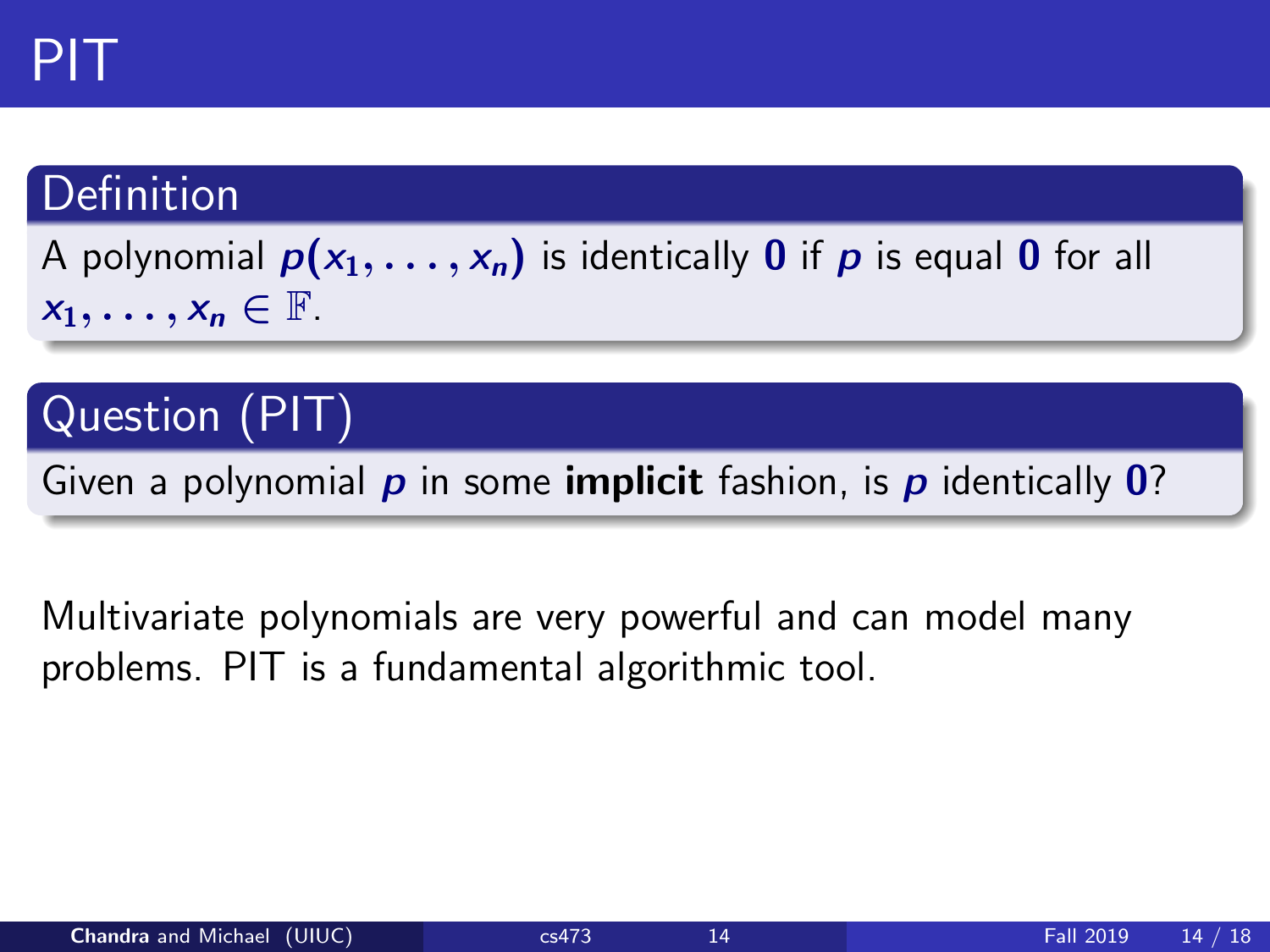### Definition

A polynomial  $p(x_1, \ldots, x_n)$  is identically 0 if p is equal 0 for all  $x_1, \ldots, x_n \in \mathbb{F}$ .

### Question (PIT)

Given a polynomial  $p$  in some **implicit** fashion, is  $p$  identically  $\mathbf{0}$ ?

Multivariate polynomials are very powerful and can model many problems. PIT is a fundamental algorithmic tool.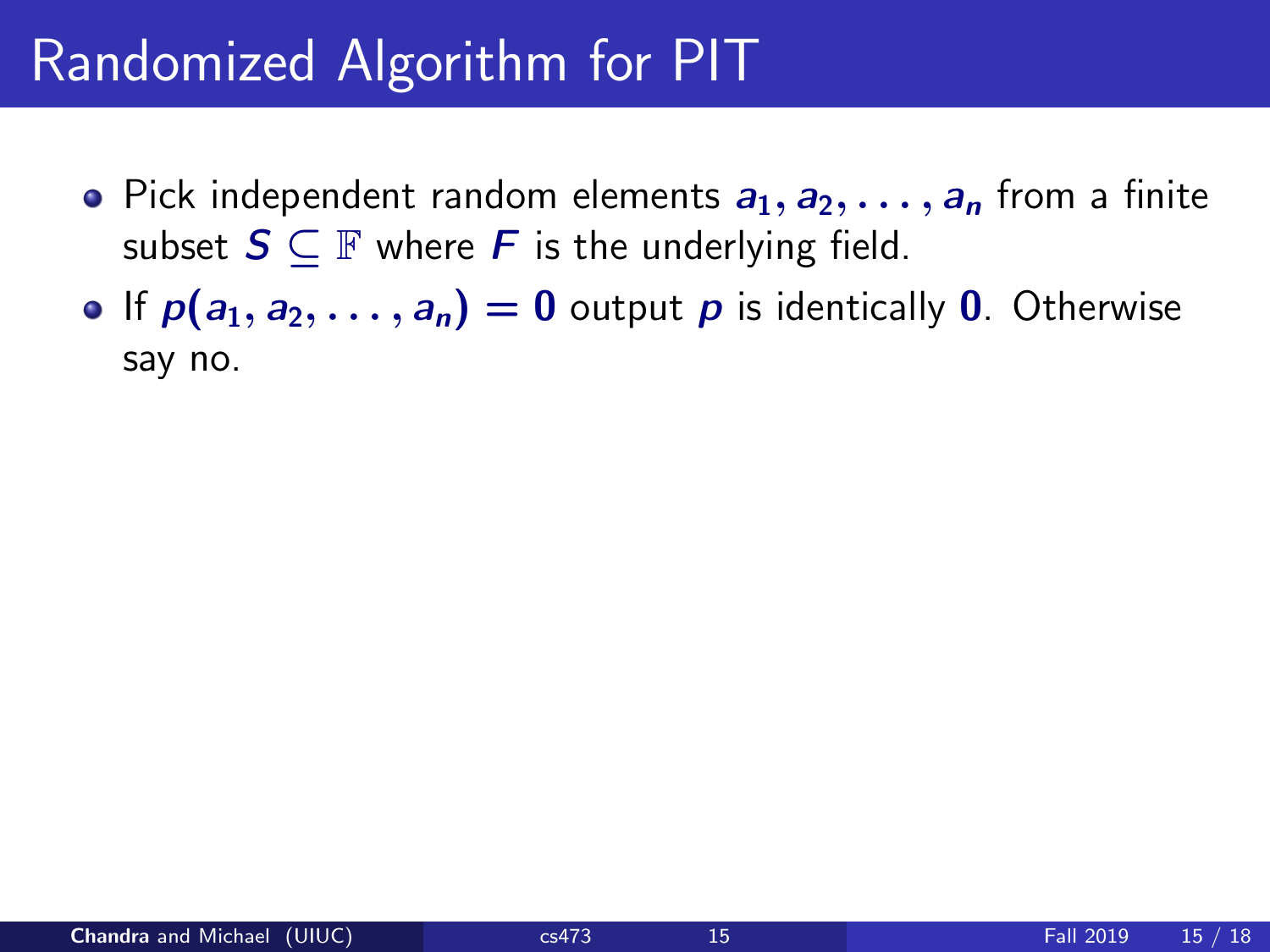## Randomized Algorithm for PIT

- Pick independent random elements  $a_1, a_2, \ldots, a_n$  from a finite subset  $S \subseteq \mathbb{F}$  where F is the underlying field.
- If  $p(a_1, a_2, \ldots, a_n) = 0$  output p is identically 0. Otherwise say no.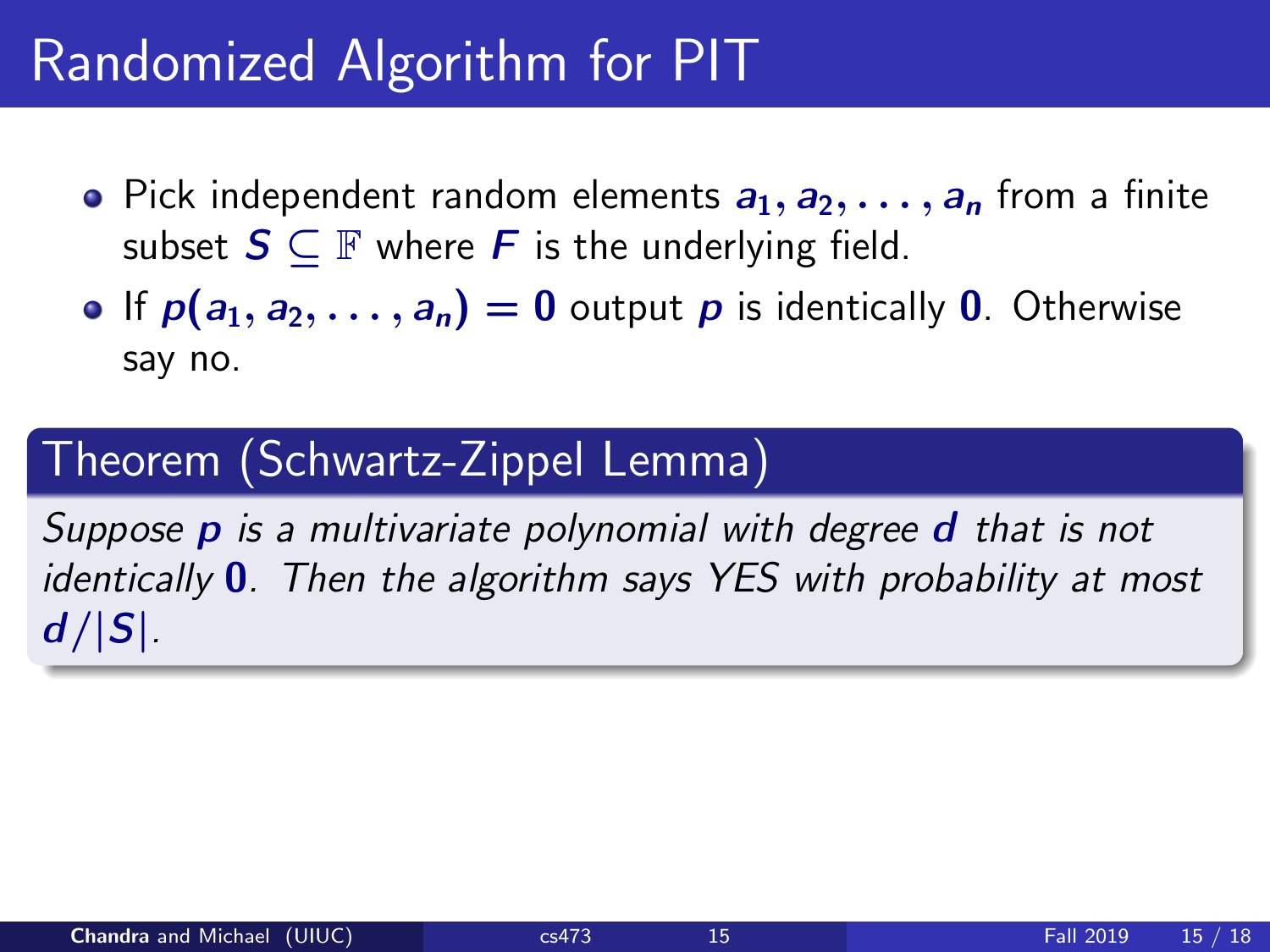# Randomized Algorithm for PIT

- Pick independent random elements  $a_1, a_2, \ldots, a_n$  from a finite subset  $S \subseteq \mathbb{F}$  where F is the underlying field.
- If  $p(a_1, a_2, \ldots, a_n) = 0$  output p is identically 0. Otherwise say no.

### Theorem (Schwartz-Zippel Lemma)

Suppose **p** is a multivariate polynomial with degree **d** that is not identically  $\mathbf{0}$ . Then the algorithm says YES with probability at most  $d/|S|$ .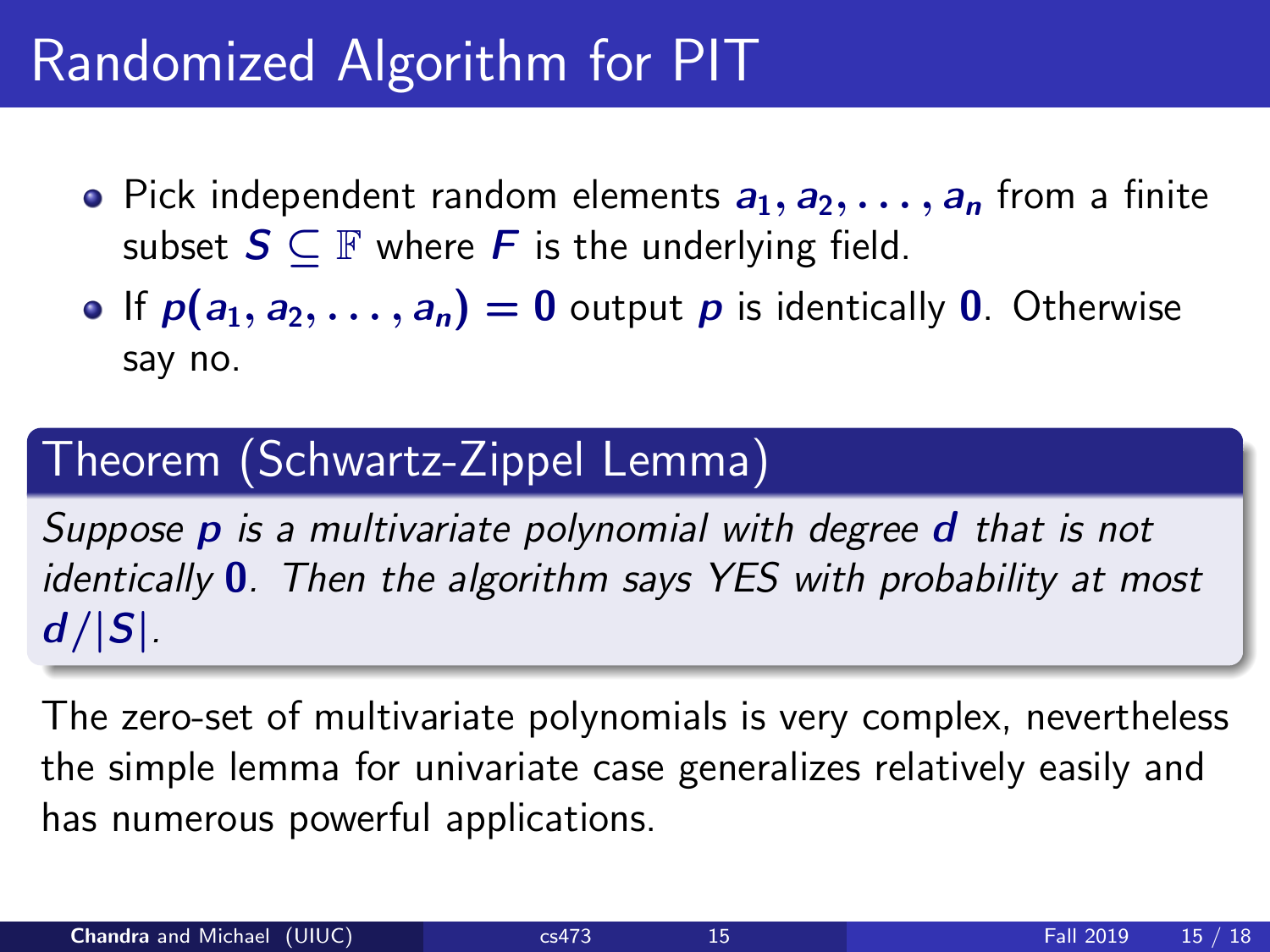# Randomized Algorithm for PIT

- Pick independent random elements  $a_1, a_2, \ldots, a_n$  from a finite subset  $S \subseteq \mathbb{F}$  where F is the underlying field.
- **•** If  $p(a_1, a_2, \ldots, a_n) = 0$  output p is identically 0. Otherwise say no.

### Theorem (Schwartz-Zippel Lemma)

Suppose **p** is a multivariate polynomial with degree **d** that is not identically  $0$ . Then the algorithm says YES with probability at most  $d/|S|$ .

The zero-set of multivariate polynomials is very complex, nevertheless the simple lemma for univariate case generalizes relatively easily and has numerous powerful applications.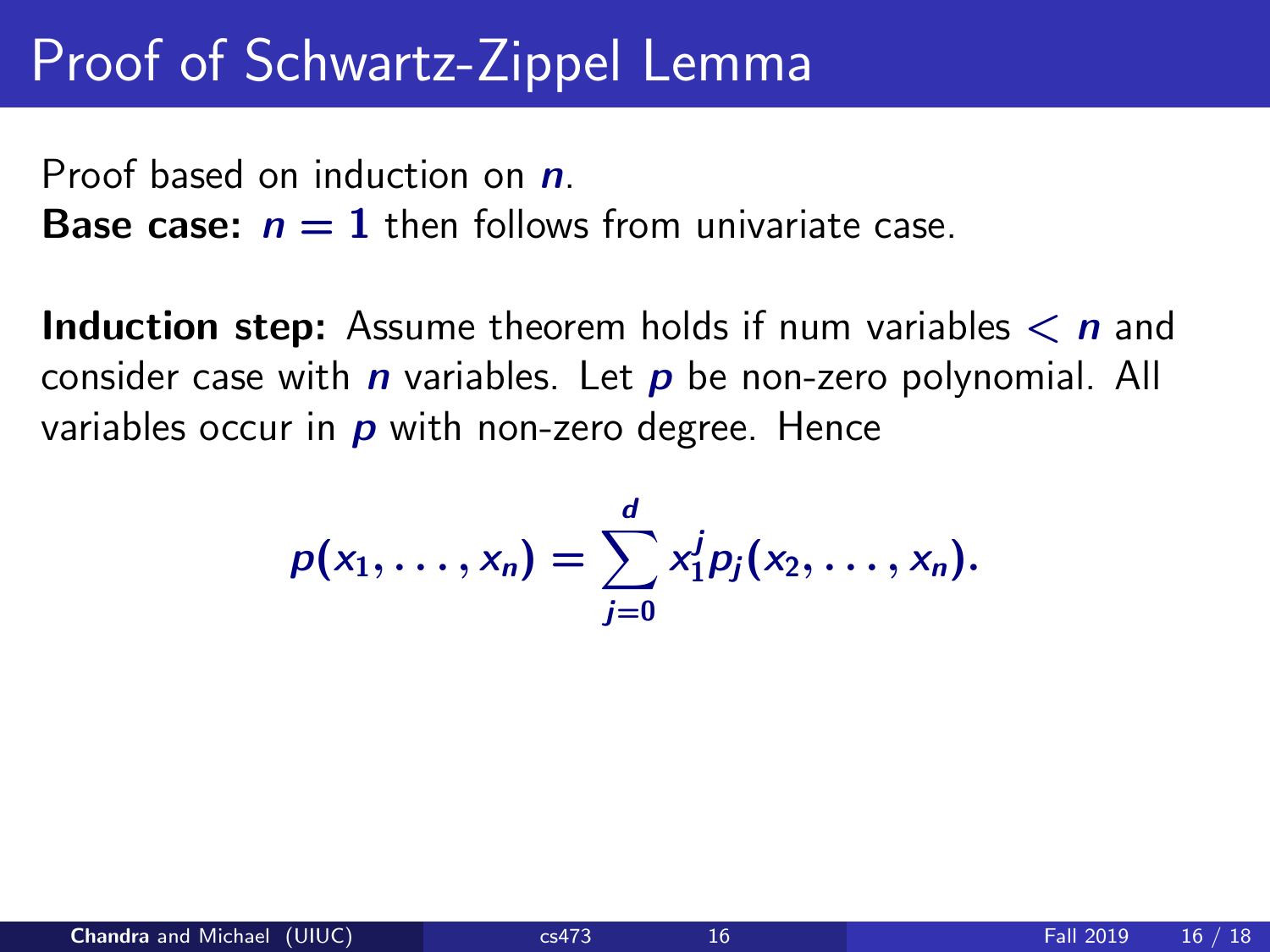### Proof of Schwartz-Zippel Lemma

Proof based on induction on  $n$ .

**Base case:**  $n = 1$  then follows from univariate case.

**Induction step:** Assume theorem holds if num variables  $\lt n$  and consider case with  $n$  variables. Let  $p$  be non-zero polynomial. All variables occur in  $\boldsymbol{p}$  with non-zero degree. Hence

$$
p(x_1,\ldots,x_n)=\sum_{j=0}^d x_1^j p_j(x_2,\ldots,x_n).
$$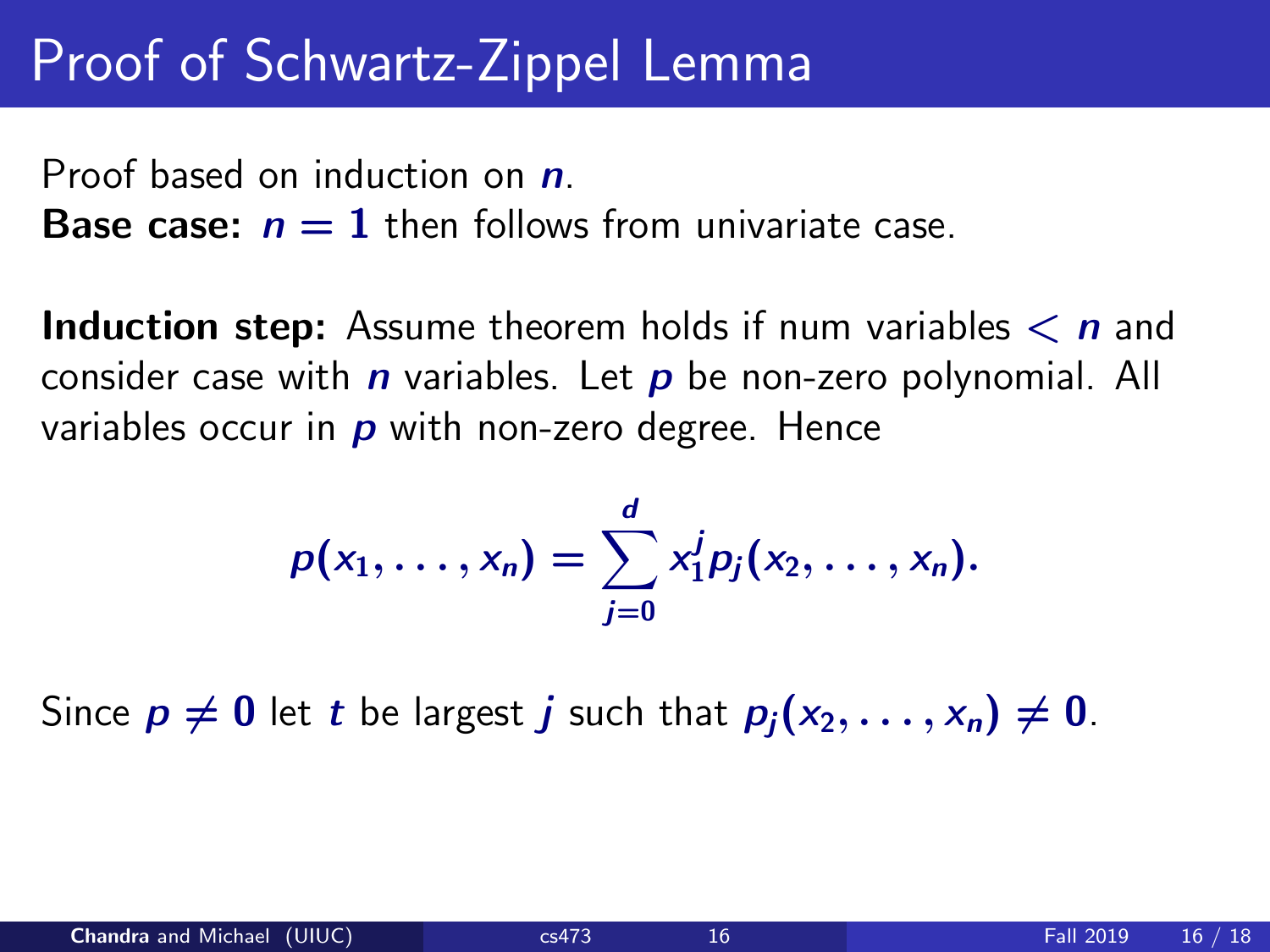### Proof of Schwartz-Zippel Lemma

Proof based on induction on  $n$ .

**Base case:**  $n = 1$  then follows from univariate case.

**Induction step:** Assume theorem holds if num variables  $\lt n$  and consider case with  $n$  variables. Let  $p$  be non-zero polynomial. All variables occur in  $\boldsymbol{p}$  with non-zero degree. Hence

$$
p(x_1,\ldots,x_n)=\sum_{j=0}^d x_1^j p_j(x_2,\ldots,x_n).
$$

Since  $p \neq 0$  let t be largest j such that  $p_i (x_2, \ldots, x_n) \neq 0$ .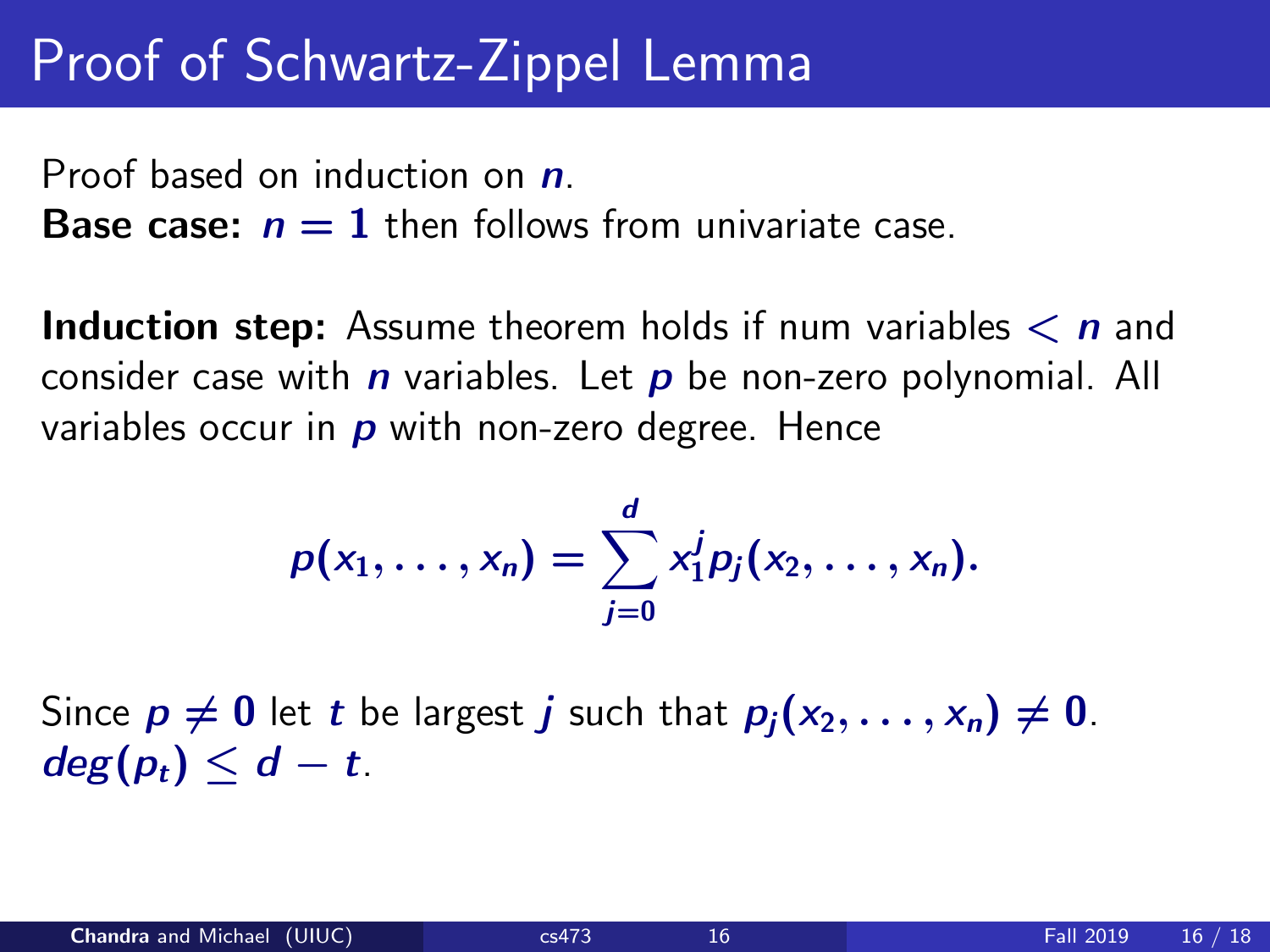### Proof of Schwartz-Zippel Lemma

Proof based on induction on  $n$ .

**Base case:**  $n = 1$  then follows from univariate case.

**Induction step:** Assume theorem holds if num variables  $\lt n$  and consider case with  $n$  variables. Let  $p$  be non-zero polynomial. All variables occur in  $\boldsymbol{p}$  with non-zero degree. Hence

$$
p(x_1,\ldots,x_n)=\sum_{j=0}^d x_1^j p_j(x_2,\ldots,x_n).
$$

Since  $p \neq 0$  let t be largest j such that  $p_i (x_2, \ldots, x_n) \neq 0$ .  $deg(p_t) \leq d - t$ .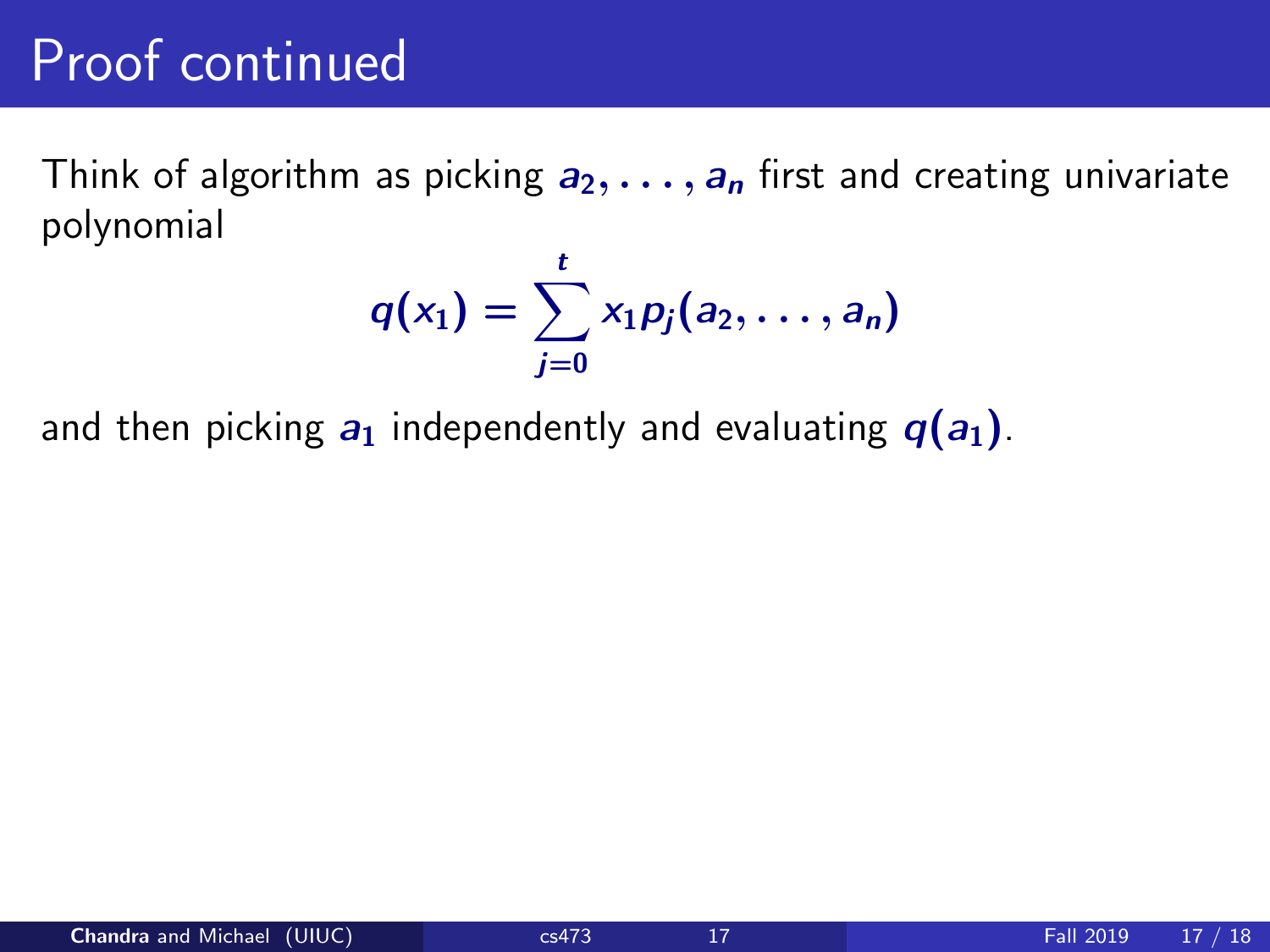### Proof continued

Think of algorithm as picking  $a_2, \ldots, a_n$  first and creating univariate polynomial

$$
q(x_1)=\sum_{j=0}^t x_1p_j(a_2,\ldots,a_n)
$$

and then picking  $a_1$  independently and evaluating  $q(a_1)$ .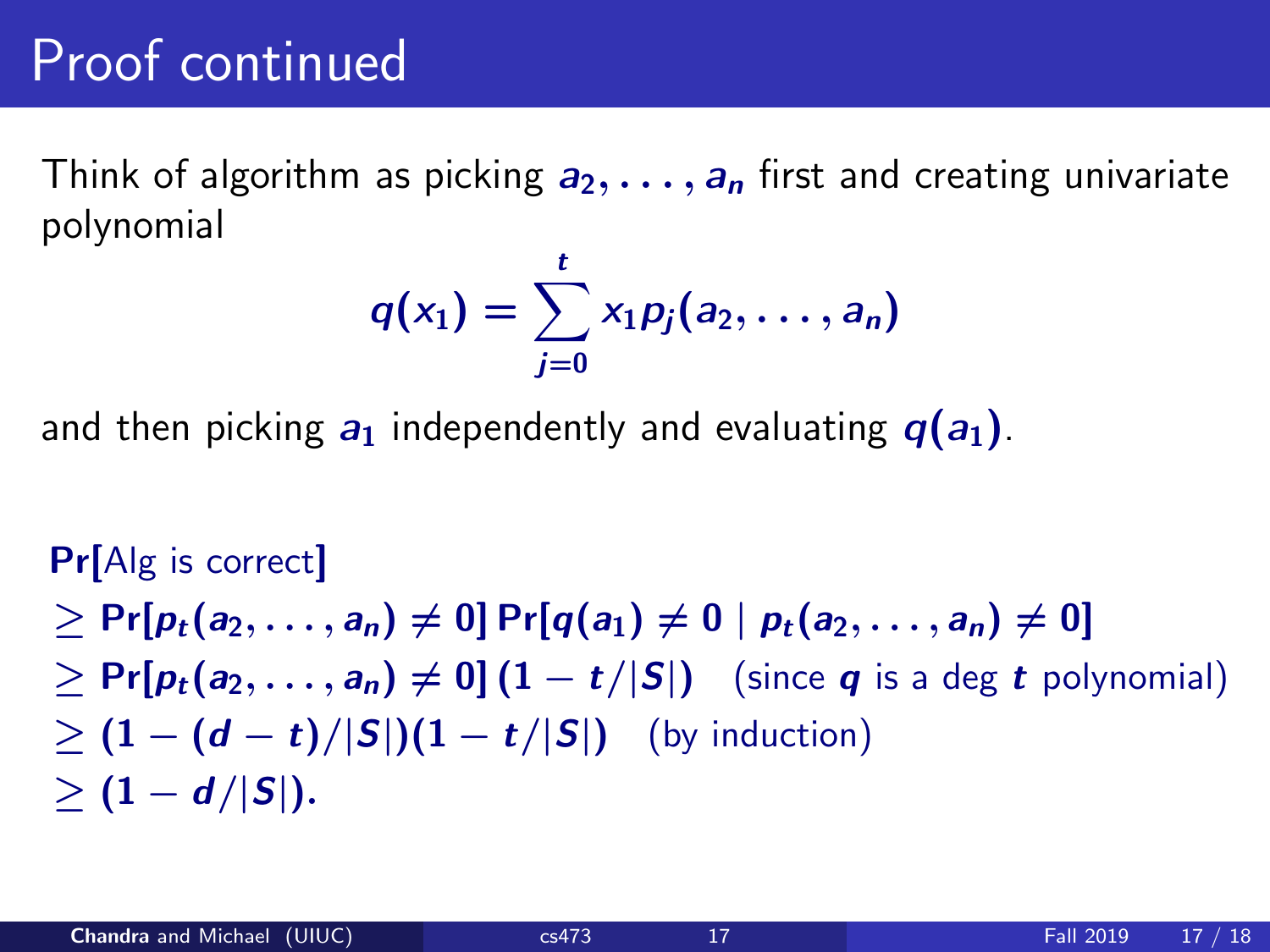### Proof continued

Think of algorithm as picking  $a_2, \ldots, a_n$  first and creating univariate polynomial

$$
q(x_1)=\sum_{j=0}^t x_1p_j(a_2,\ldots,a_n)
$$

and then picking  $a_1$  independently and evaluating  $q(a_1)$ .

Pr[Alg is correct]  $> Pr[p_t(a_2, \ldots, a_n) \neq 0] Pr[q(a_1) \neq 0 | p_t(a_2, \ldots, a_n) \neq 0]$  $\geq \Pr[p_t(a_2, \ldots, a_n) \neq 0] (1 - t/|S|)$  (since q is a deg t polynomial)  $\geq (1-(d-t)/|S|)(1-t/|S|)$  (by induction)  $> (1 - d/|S|).$